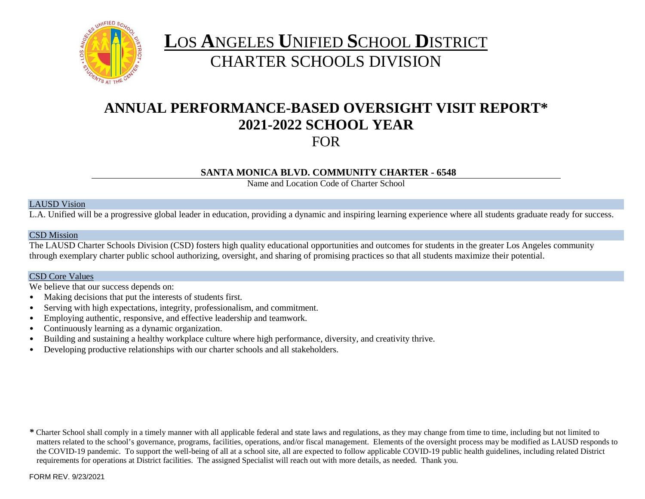

# **L**OS **A**NGELES **U**NIFIED **S**CHOOL **D**ISTRICT CHARTER SCHOOLS DIVISION

# **ANNUAL PERFORMANCE-BASED OVERSIGHT VISIT REPORT\* 2021-2022 SCHOOL YEAR** FOR

# **SANTA MONICA BLVD. COMMUNITY CHARTER - 6548**

Name and Location Code of Charter School

### LAUSD Vision

L.A. Unified will be a progressive global leader in education, providing a dynamic and inspiring learning experience where all students graduate ready for success.

### CSD Mission

The LAUSD Charter Schools Division (CSD) fosters high quality educational opportunities and outcomes for students in the greater Los Angeles community through exemplary charter public school authorizing, oversight, and sharing of promising practices so that all students maximize their potential.

### CSD Core Values

We believe that our success depends on:

- Making decisions that put the interests of students first.
- Serving with high expectations, integrity, professionalism, and commitment.
- Employing authentic, responsive, and effective leadership and teamwork.
- Continuously learning as a dynamic organization.
- Building and sustaining a healthy workplace culture where high performance, diversity, and creativity thrive.
- Developing productive relationships with our charter schools and all stakeholders.

*\** Charter School shall comply in a timely manner with all applicable federal and state laws and regulations, as they may change from time to time, including but not limited to matters related to the school's governance, programs, facilities, operations, and/or fiscal management. Elements of the oversight process may be modified as LAUSD responds to the COVID-19 pandemic. To support the well-being of all at a school site, all are expected to follow applicable COVID-19 public health guidelines, including related District requirements for operations at District facilities. The assigned Specialist will reach out with more details, as needed. Thank you.

FORM REV. 9/23/2021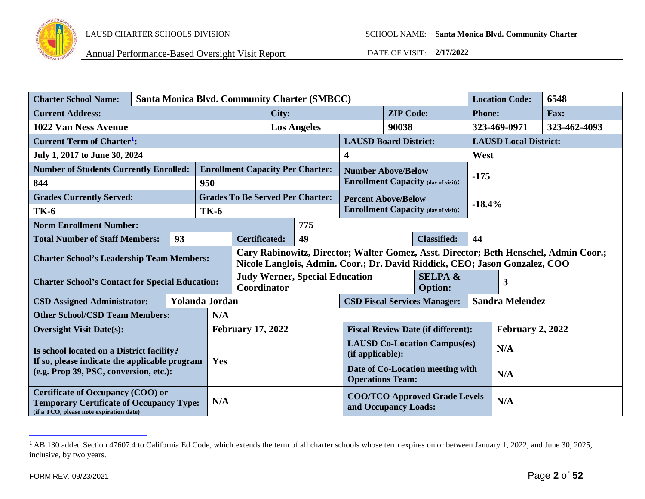

<span id="page-1-0"></span>

| <b>Charter School Name:</b>                                                                                                            | <b>Santa Monica Blvd. Community Charter (SMBCC)</b> |    |                       |                                                                                                                                                                    |                                                             |                                                              |                                           |                        | <b>Location Code:</b>                      | 6548                         |              |  |
|----------------------------------------------------------------------------------------------------------------------------------------|-----------------------------------------------------|----|-----------------------|--------------------------------------------------------------------------------------------------------------------------------------------------------------------|-------------------------------------------------------------|--------------------------------------------------------------|-------------------------------------------|------------------------|--------------------------------------------|------------------------------|--------------|--|
| <b>Current Address:</b>                                                                                                                |                                                     |    |                       | City:                                                                                                                                                              |                                                             |                                                              | <b>ZIP Code:</b>                          |                        | <b>Phone:</b>                              |                              | Fax:         |  |
| 1022 Van Ness Avenue                                                                                                                   |                                                     |    |                       |                                                                                                                                                                    | <b>Los Angeles</b>                                          |                                                              | 90038                                     |                        |                                            | 323-469-0971                 | 323-462-4093 |  |
| <b>Current Term of Charter<sup>1</sup>:</b>                                                                                            |                                                     |    |                       |                                                                                                                                                                    |                                                             |                                                              | <b>LAUSD Board District:</b>              |                        |                                            | <b>LAUSD Local District:</b> |              |  |
| July 1, 2017 to June 30, 2024                                                                                                          |                                                     |    |                       |                                                                                                                                                                    |                                                             |                                                              | 4                                         |                        |                                            | West                         |              |  |
| <b>Number of Students Currently Enrolled:</b>                                                                                          |                                                     |    |                       |                                                                                                                                                                    |                                                             | <b>Enrollment Capacity Per Charter:</b>                      | <b>Number Above/Below</b>                 |                        |                                            |                              |              |  |
| 844                                                                                                                                    |                                                     |    | 950                   |                                                                                                                                                                    |                                                             |                                                              |                                           |                        | <b>Enrollment Capacity (day of visit):</b> | $-175$                       |              |  |
| <b>Grades Currently Served:</b>                                                                                                        |                                                     |    |                       |                                                                                                                                                                    |                                                             | <b>Grades To Be Served Per Charter:</b>                      | <b>Percent Above/Below</b>                |                        |                                            |                              |              |  |
| <b>TK-6</b>                                                                                                                            |                                                     |    | <b>TK-6</b>           |                                                                                                                                                                    |                                                             |                                                              |                                           |                        | <b>Enrollment Capacity (day of visit):</b> | $-18.4%$                     |              |  |
| <b>Norm Enrollment Number:</b>                                                                                                         |                                                     |    |                       |                                                                                                                                                                    |                                                             | 775                                                          |                                           |                        |                                            |                              |              |  |
| <b>Total Number of Staff Members:</b>                                                                                                  |                                                     | 93 |                       |                                                                                                                                                                    | 49<br><b>Certificated:</b><br><b>Classified:</b>            |                                                              | 44                                        |                        |                                            |                              |              |  |
| <b>Charter School's Leadership Team Members:</b>                                                                                       |                                                     |    |                       | Cary Rabinowitz, Director; Walter Gomez, Asst. Director; Beth Henschel, Admin Coor.;<br>Nicole Langlois, Admin. Coor.; Dr. David Riddick, CEO; Jason Gonzalez, COO |                                                             |                                                              |                                           |                        |                                            |                              |              |  |
| <b>Charter School's Contact for Special Education:</b>                                                                                 |                                                     |    |                       | <b>Judy Werner, Special Education</b><br>Coordinator                                                                                                               |                                                             | <b>SELPA &amp;</b><br><b>Option:</b>                         |                                           |                        | 3                                          |                              |              |  |
| <b>CSD Assigned Administrator:</b>                                                                                                     |                                                     |    | <b>Yolanda Jordan</b> |                                                                                                                                                                    | <b>CSD Fiscal Services Manager:</b>                         |                                                              |                                           | <b>Sandra Melendez</b> |                                            |                              |              |  |
| <b>Other School/CSD Team Members:</b>                                                                                                  |                                                     |    | N/A                   |                                                                                                                                                                    |                                                             |                                                              |                                           |                        |                                            |                              |              |  |
| <b>Oversight Visit Date(s):</b>                                                                                                        |                                                     |    |                       | <b>February 17, 2022</b>                                                                                                                                           |                                                             |                                                              | <b>Fiscal Review Date (if different):</b> |                        |                                            | <b>February 2, 2022</b>      |              |  |
| Is school located on a District facility?                                                                                              |                                                     |    |                       |                                                                                                                                                                    | <b>LAUSD Co-Location Campus(es)</b><br>(if applicable):     |                                                              |                                           | N/A                    |                                            |                              |              |  |
| If so, please indicate the applicable program<br>(e.g. Prop 39, PSC, conversion, etc.):                                                |                                                     |    | Yes                   |                                                                                                                                                                    | Date of Co-Location meeting with<br><b>Operations Team:</b> |                                                              |                                           | N/A                    |                                            |                              |              |  |
| <b>Certificate of Occupancy (COO) or</b><br><b>Temporary Certificate of Occupancy Type:</b><br>(if a TCO, please note expiration date) |                                                     |    | N/A                   |                                                                                                                                                                    |                                                             | <b>COO/TCO Approved Grade Levels</b><br>and Occupancy Loads: |                                           |                        | N/A                                        |                              |              |  |

<sup>&</sup>lt;sup>1</sup> AB 130 added Section 47607.4 to California Ed Code, which extends the term of all charter schools whose term expires on or between January 1, 2022, and June 30, 2025, inclusive, by two years.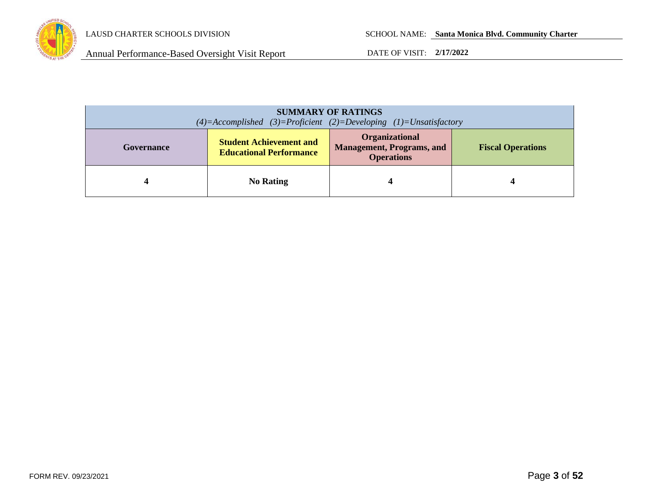

| <b>SUMMARY OF RATINGS</b><br>$(4)=$ Accomplished $(3)=$ Proficient $(2)=$ Developing $(1)=$ Unsatisfactory |                                                                  |                                                                                |                          |
|------------------------------------------------------------------------------------------------------------|------------------------------------------------------------------|--------------------------------------------------------------------------------|--------------------------|
| Governance                                                                                                 | <b>Student Achievement and</b><br><b>Educational Performance</b> | <b>Organizational</b><br><b>Management, Programs, and</b><br><b>Operations</b> | <b>Fiscal Operations</b> |
|                                                                                                            | <b>No Rating</b>                                                 |                                                                                |                          |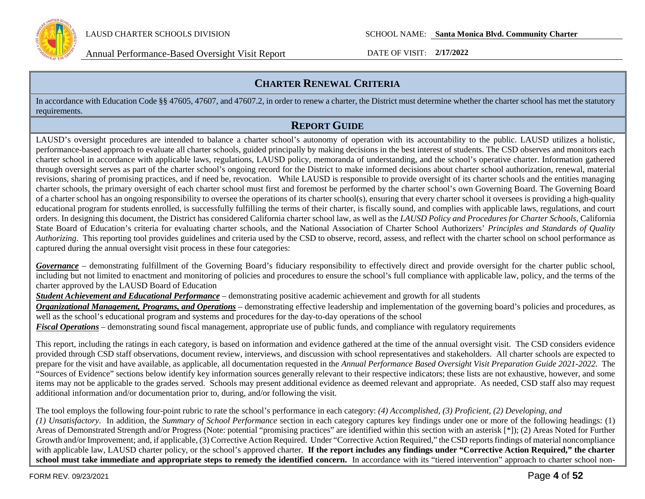

# **CHARTER RENEWAL CRITERIA**

In accordance with Education Code §§ 47605, 47607, and 47607.2, in order to renew a charter, the District must determine whether the charter school has met the statutory requirements.

# **REPORT GUIDE**

LAUSD's oversight procedures are intended to balance a charter school's autonomy of operation with its accountability to the public. LAUSD utilizes a holistic, performance-based approach to evaluate all charter schools, guided principally by making decisions in the best interest of students. The CSD observes and monitors each charter school in accordance with applicable laws, regulations, LAUSD policy, memoranda of understanding, and the school's operative charter. Information gathered through oversight serves as part of the charter school's ongoing record for the District to make informed decisions about charter school authorization, renewal, material revisions, sharing of promising practices, and if need be, revocation. While LAUSD is responsible to provide oversight of its charter schools and the entities managing charter schools, the primary oversight of each charter school must first and foremost be performed by the charter school's own Governing Board. The Governing Board of a charter school has an ongoing responsibility to oversee the operations of its charter school(s), ensuring that every charter school it oversees is providing a high-quality educational program for students enrolled, is successfully fulfilling the terms of their charter, is fiscally sound, and complies with applicable laws, regulations, and court orders. In designing this document, the District has considered California charter school law, as well as the *LAUSD Policy and Procedures for Charter Schools,* California State Board of Education's criteria for evaluating charter schools, and the National Association of Charter School Authorizers' *Principles and Standards of Quality Authorizing*. This reporting tool provides guidelines and criteria used by the CSD to observe, record, assess, and reflect with the charter school on school performance as captured during the annual oversight visit process in these four categories:

*Governance* – demonstrating fulfillment of the Governing Board's fiduciary responsibility to effectively direct and provide oversight for the charter public school, including but not limited to enactment and monitoring of policies and procedures to ensure the school's full compliance with applicable law, policy, and the terms of the charter approved by the LAUSD Board of Education

*Student Achievement and Educational Performance* – demonstrating positive academic achievement and growth for all students

*Organizational Management, Programs, and Operations* – demonstrating effective leadership and implementation of the governing board's policies and procedures, as well as the school's educational program and systems and procedures for the day-to-day operations of the school

*Fiscal Operations* – demonstrating sound fiscal management, appropriate use of public funds, and compliance with regulatory requirements

This report, including the ratings in each category, is based on information and evidence gathered at the time of the annual oversight visit. The CSD considers evidence provided through CSD staff observations, document review, interviews, and discussion with school representatives and stakeholders. All charter schools are expected to prepare for the visit and have available, as applicable, all documentation requested in the *Annual Performance Based Oversight Visit Preparation Guide 2021-2022.* The "Sources of Evidence" sections below identify key information sources generally relevant to their respective indicators; these lists are not exhaustive, however, and some items may not be applicable to the grades served. Schools may present additional evidence as deemed relevant and appropriate. As needed, CSD staff also may request additional information and/or documentation prior to, during, and/or following the visit.

The tool employs the following four-point rubric to rate the school's performance in each category: *(4) Accomplished, (3) Proficient, (2) Developing, and (1) Unsatisfactory*. In addition, the *Summary of School Performance* section in each category captures key findings under one or more of the following headings: (1) Areas of Demonstrated Strength and/or Progress (Note: potential "promising practices" are identified within this section with an asterisk [\*]); (2) Areas Noted for Further Growth and/or Improvement; and, if applicable, (3) Corrective Action Required. Under "Corrective Action Required," the CSD reports findings of material noncompliance with applicable law, LAUSD charter policy, or the school's approved charter. **If the report includes any findings under "Corrective Action Required," the charter**  school must take immediate and appropriate steps to remedy the identified concern. In accordance with its "tiered intervention" approach to charter school non-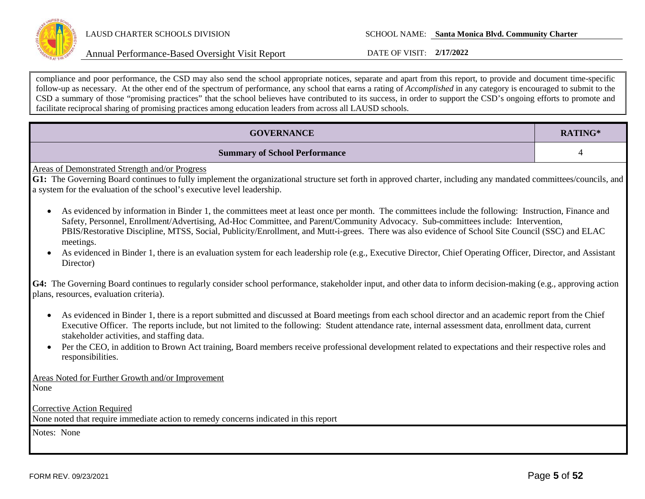

compliance and poor performance, the CSD may also send the school appropriate notices, separate and apart from this report, to provide and document time-specific follow-up as necessary. At the other end of the spectrum of performance, any school that earns a rating of *Accomplished* in any category is encouraged to submit to the CSD a summary of those "promising practices" that the school believes have contributed to its success, in order to support the CSD's ongoing efforts to promote and facilitate reciprocal sharing of promising practices among education leaders from across all LAUSD schools.

| <b>GOVERNANCE</b>                                                                                                                                                                                                                                                                                                                                                                                                                                                                                                                                                                                                                       | RATING*        |  |  |
|-----------------------------------------------------------------------------------------------------------------------------------------------------------------------------------------------------------------------------------------------------------------------------------------------------------------------------------------------------------------------------------------------------------------------------------------------------------------------------------------------------------------------------------------------------------------------------------------------------------------------------------------|----------------|--|--|
| <b>Summary of School Performance</b>                                                                                                                                                                                                                                                                                                                                                                                                                                                                                                                                                                                                    | $\overline{4}$ |  |  |
| <b>Areas of Demonstrated Strength and/or Progress</b><br>G1: The Governing Board continues to fully implement the organizational structure set forth in approved charter, including any mandated committees/councils, and<br>a system for the evaluation of the school's executive level leadership.                                                                                                                                                                                                                                                                                                                                    |                |  |  |
| As evidenced by information in Binder 1, the committees meet at least once per month. The committees include the following: Instruction, Finance and<br>Safety, Personnel, Enrollment/Advertising, Ad-Hoc Committee, and Parent/Community Advocacy. Sub-committees include: Intervention,<br>PBIS/Restorative Discipline, MTSS, Social, Publicity/Enrollment, and Mutt-i-grees. There was also evidence of School Site Council (SSC) and ELAC<br>meetings.<br>As evidenced in Binder 1, there is an evaluation system for each leadership role (e.g., Executive Director, Chief Operating Officer, Director, and Assistant<br>Director) |                |  |  |
| G4: The Governing Board continues to regularly consider school performance, stakeholder input, and other data to inform decision-making (e.g., approving action<br>plans, resources, evaluation criteria).                                                                                                                                                                                                                                                                                                                                                                                                                              |                |  |  |
| As evidenced in Binder 1, there is a report submitted and discussed at Board meetings from each school director and an academic report from the Chief<br>$\bullet$<br>Executive Officer. The reports include, but not limited to the following: Student attendance rate, internal assessment data, enrollment data, current<br>stakeholder activities, and staffing data.                                                                                                                                                                                                                                                               |                |  |  |
| Per the CEO, in addition to Brown Act training, Board members receive professional development related to expectations and their respective roles and<br>responsibilities.                                                                                                                                                                                                                                                                                                                                                                                                                                                              |                |  |  |
| Areas Noted for Further Growth and/or Improvement<br>None                                                                                                                                                                                                                                                                                                                                                                                                                                                                                                                                                                               |                |  |  |
| <b>Corrective Action Required</b><br>None noted that require immediate action to remedy concerns indicated in this report                                                                                                                                                                                                                                                                                                                                                                                                                                                                                                               |                |  |  |
| Notes: None                                                                                                                                                                                                                                                                                                                                                                                                                                                                                                                                                                                                                             |                |  |  |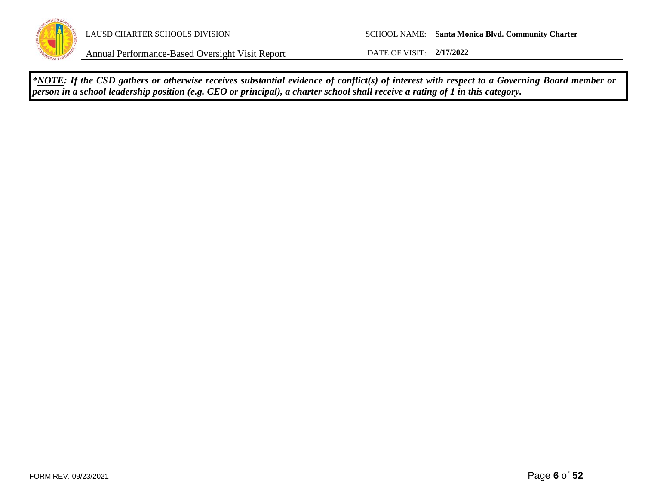

LAUSD CHARTER SCHOOLS DIVISION SCHOOL NAME: **Santa Monica Blvd. Community Charter**

Annual Performance-Based Oversight Visit Report DATE OF VISIT: **2/17/2022**

*\*NOTE: If the CSD gathers or otherwise receives substantial evidence of conflict(s) of interest with respect to a Governing Board member or person in a school leadership position (e.g. CEO or principal), a charter school shall receive a rating of 1 in this category.*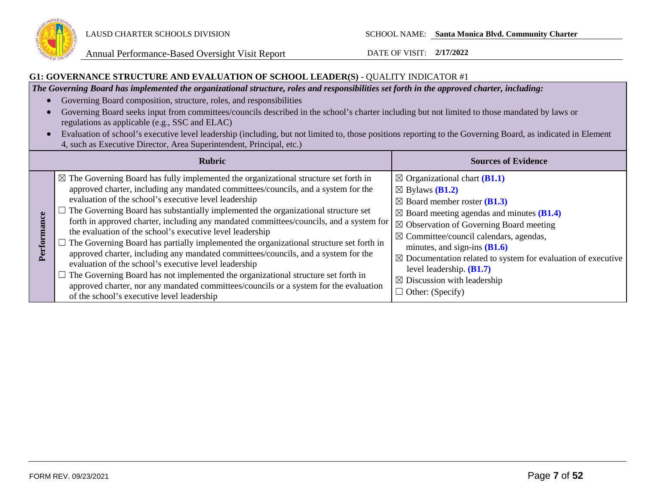

### **G1: GOVERNANCE STRUCTURE AND EVALUATION OF SCHOOL LEADER(S)** - QUALITY INDICATOR #1

*The Governing Board has implemented the organizational structure, roles and responsibilities set forth in the approved charter, including:*

- Governing Board composition, structure, roles, and responsibilities
- Governing Board seeks input from committees/councils described in the school's charter including but not limited to those mandated by laws or regulations as applicable (e.g., SSC and ELAC)
- Evaluation of school's executive level leadership (including, but not limited to, those positions reporting to the Governing Board, as indicated in Element 4, such as Executive Director, Area Superintendent, Principal, etc.)

|   | <b>Rubric</b>                                                                                                                                                                                                                                                                                                                                                                                                                                                                                                                                                                                                                                                                                                                                                                                                                                                                                                                                                                           | <b>Sources of Evidence</b>                                                                                                                                                                                                                                                                                                                                                                                                                                                                                          |
|---|-----------------------------------------------------------------------------------------------------------------------------------------------------------------------------------------------------------------------------------------------------------------------------------------------------------------------------------------------------------------------------------------------------------------------------------------------------------------------------------------------------------------------------------------------------------------------------------------------------------------------------------------------------------------------------------------------------------------------------------------------------------------------------------------------------------------------------------------------------------------------------------------------------------------------------------------------------------------------------------------|---------------------------------------------------------------------------------------------------------------------------------------------------------------------------------------------------------------------------------------------------------------------------------------------------------------------------------------------------------------------------------------------------------------------------------------------------------------------------------------------------------------------|
| Б | $\boxtimes$ The Governing Board has fully implemented the organizational structure set forth in<br>approved charter, including any mandated committees/councils, and a system for the<br>evaluation of the school's executive level leadership<br>$\Box$ The Governing Board has substantially implemented the organizational structure set<br>forth in approved charter, including any mandated committees/councils, and a system for<br>the evaluation of the school's executive level leadership<br>$\Box$ The Governing Board has partially implemented the organizational structure set forth in<br>approved charter, including any mandated committees/councils, and a system for the<br>evaluation of the school's executive level leadership<br>$\Box$ The Governing Board has not implemented the organizational structure set forth in<br>approved charter, nor any mandated committees/councils or a system for the evaluation<br>of the school's executive level leadership | $\boxtimes$ Organizational chart (B1.1)<br>$\boxtimes$ Bylaws ( <b>B1.2</b> )<br>$\boxtimes$ Board member roster ( <b>B1.3</b> )<br>$\boxtimes$ Board meeting agendas and minutes (B1.4)<br>$\boxtimes$ Observation of Governing Board meeting<br>$\boxtimes$ Committee/council calendars, agendas,<br>minutes, and sign-ins $(B1.6)$<br>$\boxtimes$ Documentation related to system for evaluation of executive<br>level leadership. $(B1.7)$<br>$\boxtimes$ Discussion with leadership<br>$\Box$ Other: (Specify) |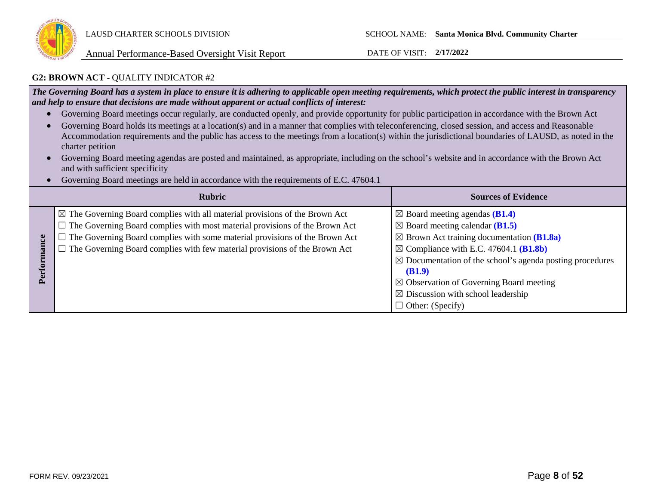

### **G2: BROWN ACT** - QUALITY INDICATOR #2

*The Governing Board has a system in place to ensure it is adhering to applicable open meeting requirements, which protect the public interest in transparency and help to ensure that decisions are made without apparent or actual conflicts of interest:*

- Governing Board meetings occur regularly, are conducted openly, and provide opportunity for public participation in accordance with the Brown Act
- Governing Board holds its meetings at a location(s) and in a manner that complies with teleconferencing, closed session, and access and Reasonable Accommodation requirements and the public has access to the meetings from a location(s) within the jurisdictional boundaries of LAUSD, as noted in the charter petition
- Governing Board meeting agendas are posted and maintained, as appropriate, including on the school's website and in accordance with the Brown Act and with sufficient specificity
- Governing Board meetings are held in accordance with the requirements of E.C. 47604.1

|       | <b>Rubric</b>                                                                                                                                                                                                                                                                                                                                           | <b>Sources of Evidence</b>                                                                                                                                                                                                                                                                                                                                                                                           |
|-------|---------------------------------------------------------------------------------------------------------------------------------------------------------------------------------------------------------------------------------------------------------------------------------------------------------------------------------------------------------|----------------------------------------------------------------------------------------------------------------------------------------------------------------------------------------------------------------------------------------------------------------------------------------------------------------------------------------------------------------------------------------------------------------------|
| erfor | $\boxtimes$ The Governing Board complies with all material provisions of the Brown Act<br>$\Box$ The Governing Board complies with most material provisions of the Brown Act<br>$\Box$ The Governing Board complies with some material provisions of the Brown Act<br>$\Box$ The Governing Board complies with few material provisions of the Brown Act | $\boxtimes$ Board meeting agendas (B1.4)<br>$\boxtimes$ Board meeting calendar (B1.5)<br>$\boxtimes$ Brown Act training documentation (B1.8a)<br>$\boxtimes$ Compliance with E.C. 47604.1 (B1.8b)<br>$\boxtimes$ Documentation of the school's agenda posting procedures<br>(B1.9)<br>$\boxtimes$ Observation of Governing Board meeting<br>$\boxtimes$ Discussion with school leadership<br>$\Box$ Other: (Specify) |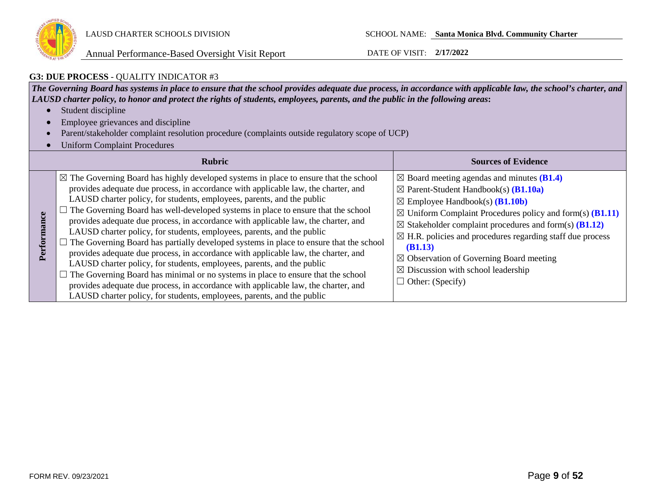

## **G3: DUE PROCESS** - QUALITY INDICATOR #3

*The Governing Board has systems in place to ensure that the school provides adequate due process, in accordance with applicable law, the school's charter, and LAUSD charter policy, to honor and protect the rights of students, employees, parents, and the public in the following areas***:**

- Student discipline
- Employee grievances and discipline
- Parent/stakeholder complaint resolution procedure (complaints outside regulatory scope of UCP)
- Uniform Complaint Procedures

|     | <b>Rubric</b>                                                                                                                                                                                                                                                                                                                                                                                                                                                                                                                                                                                                                                                                                                                                                                                                                                                                                                                                                                                                                                    | <b>Sources of Evidence</b>                                                                                                                                                                                                                                                                                                                                                                                                                                                                                                                      |
|-----|--------------------------------------------------------------------------------------------------------------------------------------------------------------------------------------------------------------------------------------------------------------------------------------------------------------------------------------------------------------------------------------------------------------------------------------------------------------------------------------------------------------------------------------------------------------------------------------------------------------------------------------------------------------------------------------------------------------------------------------------------------------------------------------------------------------------------------------------------------------------------------------------------------------------------------------------------------------------------------------------------------------------------------------------------|-------------------------------------------------------------------------------------------------------------------------------------------------------------------------------------------------------------------------------------------------------------------------------------------------------------------------------------------------------------------------------------------------------------------------------------------------------------------------------------------------------------------------------------------------|
| Per | $\boxtimes$ The Governing Board has highly developed systems in place to ensure that the school<br>provides adequate due process, in accordance with applicable law, the charter, and<br>LAUSD charter policy, for students, employees, parents, and the public<br>The Governing Board has well-developed systems in place to ensure that the school<br>provides adequate due process, in accordance with applicable law, the charter, and<br>LAUSD charter policy, for students, employees, parents, and the public<br>$\Box$ The Governing Board has partially developed systems in place to ensure that the school<br>provides adequate due process, in accordance with applicable law, the charter, and<br>LAUSD charter policy, for students, employees, parents, and the public<br>$\Box$ The Governing Board has minimal or no systems in place to ensure that the school<br>provides adequate due process, in accordance with applicable law, the charter, and<br>LAUSD charter policy, for students, employees, parents, and the public | $\boxtimes$ Board meeting agendas and minutes (B1.4)<br>$\boxtimes$ Parent-Student Handbook(s) ( <b>B1.10a</b> )<br>$\boxtimes$ Employee Handbook(s) ( <b>B1.10b</b> )<br>$\boxtimes$ Uniform Complaint Procedures policy and form(s) ( <b>B1.11</b> )<br>$\boxtimes$ Stakeholder complaint procedures and form(s) (B1.12)<br>$\boxtimes$ H.R. policies and procedures regarding staff due process<br>(B1.13)<br>$\boxtimes$ Observation of Governing Board meeting<br>$\boxtimes$ Discussion with school leadership<br>$\Box$ Other: (Specify) |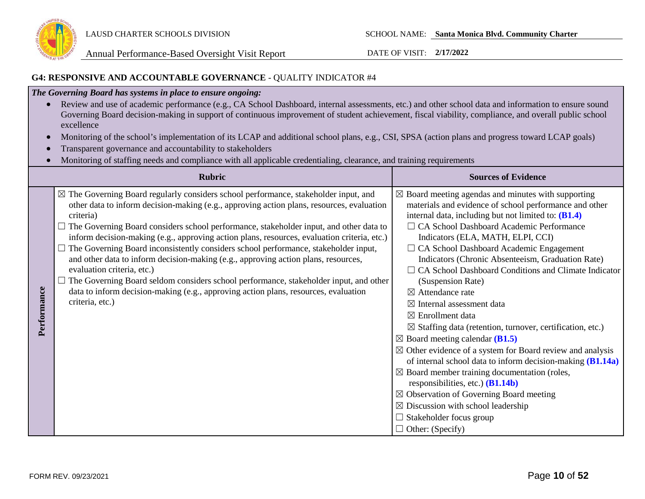

### **G4: RESPONSIVE AND ACCOUNTABLE GOVERNANCE** - QUALITY INDICATOR #4

# *The Governing Board has systems in place to ensure ongoing:*

- Review and use of academic performance (e.g., CA School Dashboard, internal assessments, etc.) and other school data and information to ensure sound Governing Board decision-making in support of continuous improvement of student achievement, fiscal viability, compliance, and overall public school excellence
- Monitoring of the school's implementation of its LCAP and additional school plans, e.g., CSI, SPSA (action plans and progress toward LCAP goals)
- Transparent governance and accountability to stakeholders
- Monitoring of staffing needs and compliance with all applicable credentialing, clearance, and training requirements

|             | <b>Rubric</b>                                                                                                                                                                                                                                                                                                                                                                                                                                                                                                                                                                                                                                                                                                                                                                                                   | <b>Sources of Evidence</b>                                                                                                                                                                                                                                                                                                                                                                                                                                                                                                                                                                                                                                                                                                                                                                                                                                                                                                                                                                                                                                                                         |
|-------------|-----------------------------------------------------------------------------------------------------------------------------------------------------------------------------------------------------------------------------------------------------------------------------------------------------------------------------------------------------------------------------------------------------------------------------------------------------------------------------------------------------------------------------------------------------------------------------------------------------------------------------------------------------------------------------------------------------------------------------------------------------------------------------------------------------------------|----------------------------------------------------------------------------------------------------------------------------------------------------------------------------------------------------------------------------------------------------------------------------------------------------------------------------------------------------------------------------------------------------------------------------------------------------------------------------------------------------------------------------------------------------------------------------------------------------------------------------------------------------------------------------------------------------------------------------------------------------------------------------------------------------------------------------------------------------------------------------------------------------------------------------------------------------------------------------------------------------------------------------------------------------------------------------------------------------|
| Performance | $\boxtimes$ The Governing Board regularly considers school performance, stakeholder input, and<br>other data to inform decision-making (e.g., approving action plans, resources, evaluation<br>criteria)<br>The Governing Board considers school performance, stakeholder input, and other data to<br>inform decision-making (e.g., approving action plans, resources, evaluation criteria, etc.)<br>The Governing Board inconsistently considers school performance, stakeholder input,<br>and other data to inform decision-making (e.g., approving action plans, resources,<br>evaluation criteria, etc.)<br>The Governing Board seldom considers school performance, stakeholder input, and other<br>data to inform decision-making (e.g., approving action plans, resources, evaluation<br>criteria, etc.) | $\boxtimes$ Board meeting agendas and minutes with supporting<br>materials and evidence of school performance and other<br>internal data, including but not limited to: (B1.4)<br>□ CA School Dashboard Academic Performance<br>Indicators (ELA, MATH, ELPI, CCI)<br>$\Box$ CA School Dashboard Academic Engagement<br>Indicators (Chronic Absenteeism, Graduation Rate)<br>$\Box$ CA School Dashboard Conditions and Climate Indicator<br>(Suspension Rate)<br>$\boxtimes$ Attendance rate<br>$\boxtimes$ Internal assessment data<br>$\boxtimes$ Enrollment data<br>$\boxtimes$ Staffing data (retention, turnover, certification, etc.)<br>$\boxtimes$ Board meeting calendar (B1.5)<br>$\boxtimes$ Other evidence of a system for Board review and analysis<br>of internal school data to inform decision-making (B1.14a)<br>$\boxtimes$ Board member training documentation (roles,<br>responsibilities, etc.) $(B1.14b)$<br>$\boxtimes$ Observation of Governing Board meeting<br>$\boxtimes$ Discussion with school leadership<br>$\Box$ Stakeholder focus group<br>$\Box$ Other: (Specify) |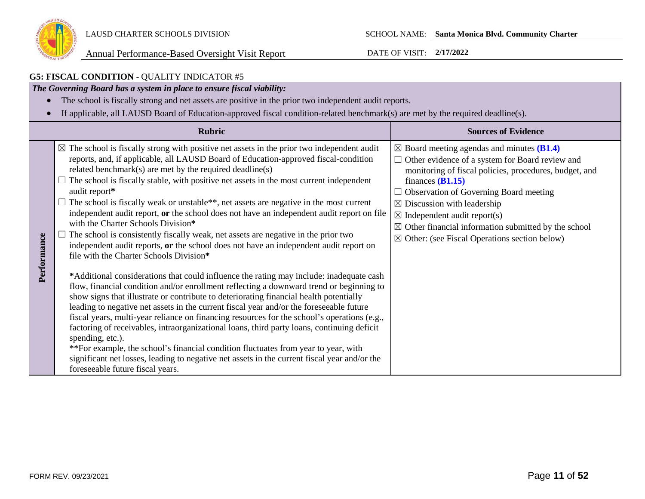

#### **G5: FISCAL CONDITION** - QUALITY INDICATOR #5 *The Governing Board has a system in place to ensure fiscal viability:* • The school is fiscally strong and net assets are positive in the prior two independent audit reports. • If applicable, all LAUSD Board of Education-approved fiscal condition-related benchmark(s) are met by the required deadline(s). **Rubric Sources of Evidence**  $\boxtimes$  The school is fiscally strong with positive net assets in the prior two independent audit ☒ Board meeting agendas and minutes **(B1.4)** reports, and, if applicable, all LAUSD Board of Education-approved fiscal-condition □ Other evidence of a system for Board review and related benchmark(s) are met by the required deadline(s) monitoring of fiscal policies, procedures, budget, and  $\Box$  The school is fiscally stable, with positive net assets in the most current independent finances **(B1.15)** audit report**\***  $\Box$  Observation of Governing Board meeting  $\Box$  The school is fiscally weak or unstable\*\*, net assets are negative in the most current  $\boxtimes$  Discussion with leadership independent audit report, **or** the school does not have an independent audit report on file  $\boxtimes$  Independent audit report(s) with the Charter Schools Division**\***  $\boxtimes$  Other financial information submitted by the school  $\Box$  The school is consistently fiscally weak, net assets are negative in the prior two Performance **Performance**  $\boxtimes$  Other: (see Fiscal Operations section below) independent audit reports, **or** the school does not have an independent audit report on file with the Charter Schools Division**\* \***Additional considerations that could influence the rating may include: inadequate cash flow, financial condition and/or enrollment reflecting a downward trend or beginning to show signs that illustrate or contribute to deteriorating financial health potentially leading to negative net assets in the current fiscal year and/or the foreseeable future fiscal years, multi-year reliance on financing resources for the school's operations (e.g., factoring of receivables, intraorganizational loans, third party loans, continuing deficit spending, etc.). \*\*For example, the school's financial condition fluctuates from year to year, with significant net losses, leading to negative net assets in the current fiscal year and/or the foreseeable future fiscal years.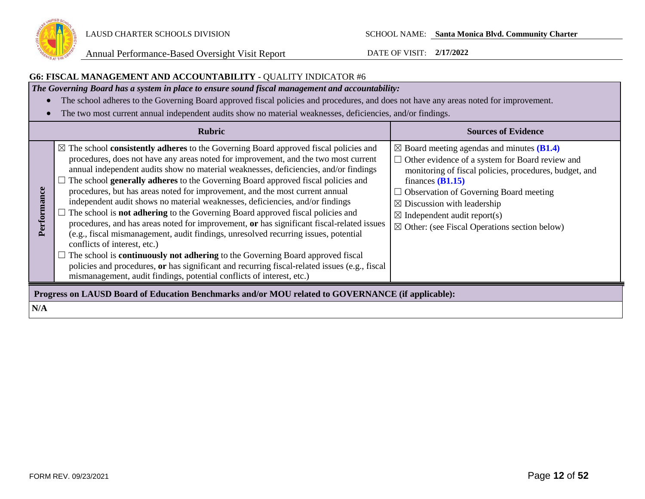

## **G6: FISCAL MANAGEMENT AND ACCOUNTABILITY** - QUALITY INDICATOR #6

*The Governing Board has a system in place to ensure sound fiscal management and accountability:*

- The school adheres to the Governing Board approved fiscal policies and procedures, and does not have any areas noted for improvement.
- The two most current annual independent audits show no material weaknesses, deficiencies, and/or findings.

|                 | <b>Rubric</b>                                                                                                                                                                                                                                                                                                                                                                                                                                                                                                                                                                                                                                                                                                                                                                                                                                                                                                                                                                                                                                                                                                              | <b>Sources of Evidence</b>                                                                                                                                                                                                                                                                                                                                                                       |
|-----------------|----------------------------------------------------------------------------------------------------------------------------------------------------------------------------------------------------------------------------------------------------------------------------------------------------------------------------------------------------------------------------------------------------------------------------------------------------------------------------------------------------------------------------------------------------------------------------------------------------------------------------------------------------------------------------------------------------------------------------------------------------------------------------------------------------------------------------------------------------------------------------------------------------------------------------------------------------------------------------------------------------------------------------------------------------------------------------------------------------------------------------|--------------------------------------------------------------------------------------------------------------------------------------------------------------------------------------------------------------------------------------------------------------------------------------------------------------------------------------------------------------------------------------------------|
| rmance<br>erfor | $\boxtimes$ The school consistently adheres to the Governing Board approved fiscal policies and<br>procedures, does not have any areas noted for improvement, and the two most current<br>annual independent audits show no material weaknesses, deficiencies, and/or findings<br>The school generally adheres to the Governing Board approved fiscal policies and<br>procedures, but has areas noted for improvement, and the most current annual<br>independent audit shows no material weaknesses, deficiencies, and/or findings<br>$\Box$ The school is <b>not adhering</b> to the Governing Board approved fiscal policies and<br>procedures, and has areas noted for improvement, or has significant fiscal-related issues<br>(e.g., fiscal mismanagement, audit findings, unresolved recurring issues, potential<br>conflicts of interest, etc.)<br>The school is <b>continuously not adhering</b> to the Governing Board approved fiscal<br>policies and procedures, or has significant and recurring fiscal-related issues (e.g., fiscal<br>mismanagement, audit findings, potential conflicts of interest, etc.) | $\boxtimes$ Board meeting agendas and minutes (B1.4)<br>$\Box$ Other evidence of a system for Board review and<br>monitoring of fiscal policies, procedures, budget, and<br>finances $(B1.15)$<br>$\Box$ Observation of Governing Board meeting<br>$\boxtimes$ Discussion with leadership<br>$\boxtimes$ Independent audit report(s)<br>$\boxtimes$ Other: (see Fiscal Operations section below) |
|                 | Progress on LAUSD Board of Education Benchmarks and/or MOU related to GOVERNANCE (if applicable):                                                                                                                                                                                                                                                                                                                                                                                                                                                                                                                                                                                                                                                                                                                                                                                                                                                                                                                                                                                                                          |                                                                                                                                                                                                                                                                                                                                                                                                  |
| N/A             |                                                                                                                                                                                                                                                                                                                                                                                                                                                                                                                                                                                                                                                                                                                                                                                                                                                                                                                                                                                                                                                                                                                            |                                                                                                                                                                                                                                                                                                                                                                                                  |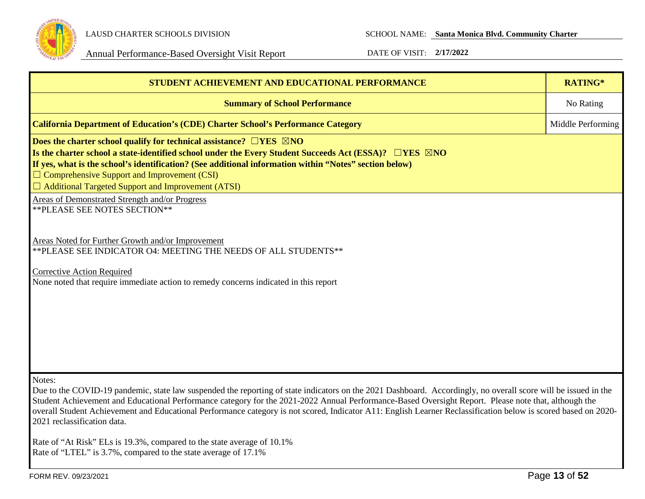

LAUSD CHARTER SCHOOLS DIVISION SCHOOL NAME: **Santa Monica Blvd. Community Charter**

| STUDENT ACHIEVEMENT AND EDUCATIONAL PERFORMANCE                                                                                                                                                                                                                                                                                                                                                                                                                                                                                   | RATING*           |  |  |
|-----------------------------------------------------------------------------------------------------------------------------------------------------------------------------------------------------------------------------------------------------------------------------------------------------------------------------------------------------------------------------------------------------------------------------------------------------------------------------------------------------------------------------------|-------------------|--|--|
| <b>Summary of School Performance</b>                                                                                                                                                                                                                                                                                                                                                                                                                                                                                              | No Rating         |  |  |
| <b>California Department of Education's (CDE) Charter School's Performance Category</b>                                                                                                                                                                                                                                                                                                                                                                                                                                           | Middle Performing |  |  |
| Does the charter school qualify for technical assistance? $\Box$ YES $\boxtimes$ NO<br>Is the charter school a state-identified school under the Every Student Succeeds Act (ESSA)? $\Box$ YES $\boxtimes$ NO<br>If yes, what is the school's identification? (See additional information within "Notes" section below)<br>$\Box$ Comprehensive Support and Improvement (CSI)<br>$\Box$ Additional Targeted Support and Improvement (ATSI)                                                                                        |                   |  |  |
| <b>Areas of Demonstrated Strength and/or Progress</b><br>** PLEASE SEE NOTES SECTION**                                                                                                                                                                                                                                                                                                                                                                                                                                            |                   |  |  |
| Areas Noted for Further Growth and/or Improvement<br>** PLEASE SEE INDICATOR O4: MEETING THE NEEDS OF ALL STUDENTS**                                                                                                                                                                                                                                                                                                                                                                                                              |                   |  |  |
| <b>Corrective Action Required</b><br>None noted that require immediate action to remedy concerns indicated in this report                                                                                                                                                                                                                                                                                                                                                                                                         |                   |  |  |
| Notes:<br>Due to the COVID-19 pandemic, state law suspended the reporting of state indicators on the 2021 Dashboard. Accordingly, no overall score will be issued in the<br>Student Achievement and Educational Performance category for the 2021-2022 Annual Performance-Based Oversight Report. Please note that, although the<br>overall Student Achievement and Educational Performance category is not scored, Indicator A11: English Learner Reclassification below is scored based on 2020-<br>2021 reclassification data. |                   |  |  |
| Rate of "At Risk" ELs is 19.3%, compared to the state average of 10.1%<br>Rate of "LTEL" is 3.7%, compared to the state average of 17.1%                                                                                                                                                                                                                                                                                                                                                                                          |                   |  |  |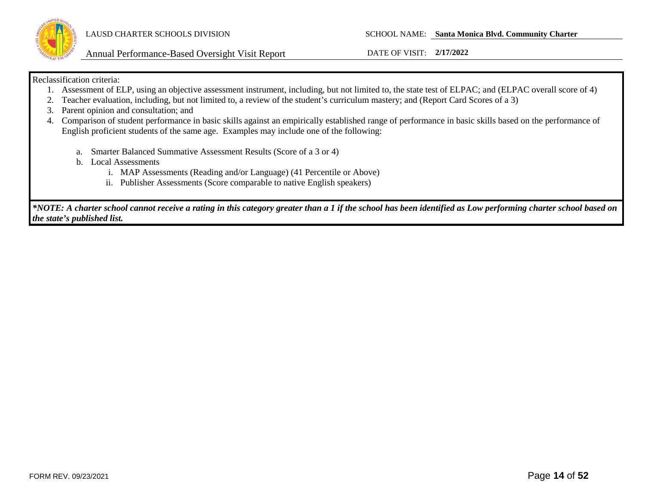

### Reclassification criteria:

- 1. Assessment of ELP, using an objective assessment instrument, including, but not limited to, the state test of ELPAC; and (ELPAC overall score of 4)
- 2. Teacher evaluation, including, but not limited to, a review of the student's curriculum mastery; and (Report Card Scores of a 3)
- 3. Parent opinion and consultation; and
- 4. Comparison of student performance in basic skills against an empirically established range of performance in basic skills based on the performance of English proficient students of the same age. Examples may include one of the following:
	- a. Smarter Balanced Summative Assessment Results (Score of a 3 or 4)
	- b. Local Assessments
		- i. MAP Assessments (Reading and/or Language) (41 Percentile or Above)
		- ii. Publisher Assessments (Score comparable to native English speakers)

*\*NOTE: A charter school cannot receive a rating in this category greater than a 1 if the school has been identified as Low performing charter school based on the state's published list.*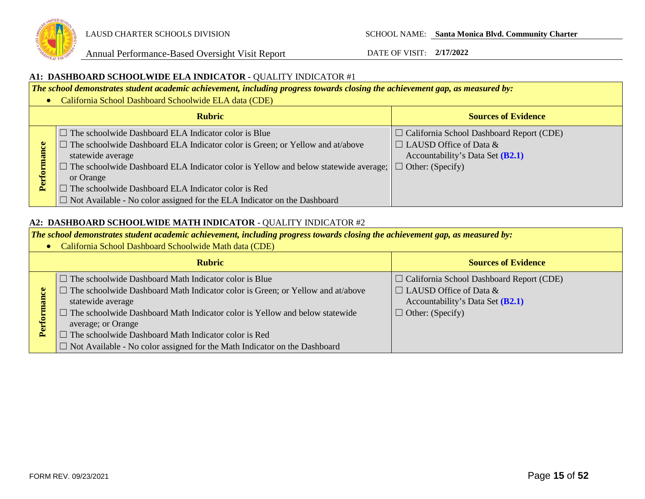

### **A1: DASHBOARD SCHOOLWIDE ELA INDICATOR -** QUALITY INDICATOR #1

*The school demonstrates student academic achievement, including progress towards closing the achievement gap, as measured by:*

• California School Dashboard Schoolwide ELA data (CDE)

|         | <b>Rubric</b>                                                                                                                                                                                                                                                                                                                                                                                                     | <b>Sources of Evidence</b>                                                                                                                               |
|---------|-------------------------------------------------------------------------------------------------------------------------------------------------------------------------------------------------------------------------------------------------------------------------------------------------------------------------------------------------------------------------------------------------------------------|----------------------------------------------------------------------------------------------------------------------------------------------------------|
| බ<br>تم | $\Box$ The schoolwide Dashboard ELA Indicator color is Blue<br>The schoolwide Dashboard ELA Indicator color is Green; or Yellow and at/above<br>statewide average<br>The schoolwide Dashboard ELA Indicator color is Yellow and below statewide average;  <br>or Orange<br>The schoolwide Dashboard ELA Indicator color is Red<br>$\Box$ Not Available - No color assigned for the ELA Indicator on the Dashboard | $\Box$ California School Dashboard Report (CDE)<br>$\Box$ LAUSD Office of Data &<br>Accountability's Data Set ( <b>B2.1</b> )<br>$\Box$ Other: (Specify) |

### **A2: DASHBOARD SCHOOLWIDE MATH INDICATOR** - QUALITY INDICATOR #2

*The school demonstrates student academic achievement, including progress towards closing the achievement gap, as measured by:*

• California School Dashboard Schoolwide Math data (CDE)

| <b>Rubric</b>                                                                      | <b>Sources of Evidence</b>                      |
|------------------------------------------------------------------------------------|-------------------------------------------------|
| $\Box$ The schoolwide Dashboard Math Indicator color is Blue                       | $\Box$ California School Dashboard Report (CDE) |
| The schoolwide Dashboard Math Indicator color is Green; or Yellow and at/above     | $\Box$ LAUSD Office of Data &                   |
| statewide average                                                                  | Accountability's Data Set (B2.1)                |
| $\Box$ The schoolwide Dashboard Math Indicator color is Yellow and below statewide | $\Box$ Other: (Specify)                         |
| average; or Orange                                                                 |                                                 |
| $\Box$ The schoolwide Dashboard Math Indicator color is Red                        |                                                 |
| $\Box$ Not Available - No color assigned for the Math Indicator on the Dashboard   |                                                 |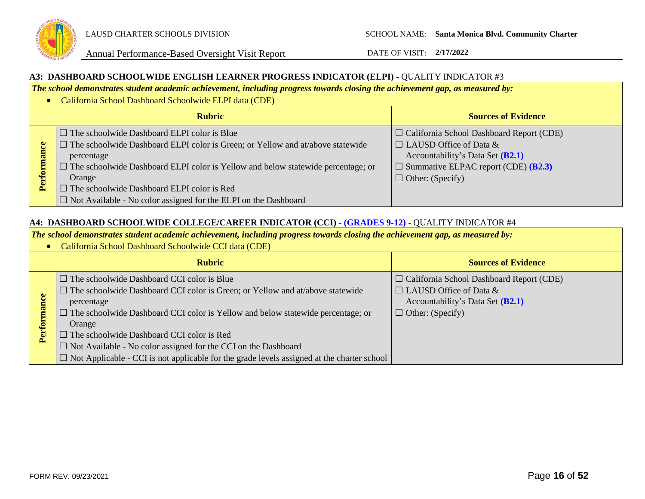

### **A3: DASHBOARD SCHOOLWIDE ENGLISH LEARNER PROGRESS INDICATOR (ELPI) -** QUALITY INDICATOR #3

*The school demonstrates student academic achievement, including progress towards closing the achievement gap, as measured by:*

• California School Dashboard Schoolwide ELPI data (CDE)

|      | <b>Rubric</b>                                                                                                                                                                                                                                                                                                                                                                          | <b>Sources of Evidence</b>                                                                                                                                                                             |
|------|----------------------------------------------------------------------------------------------------------------------------------------------------------------------------------------------------------------------------------------------------------------------------------------------------------------------------------------------------------------------------------------|--------------------------------------------------------------------------------------------------------------------------------------------------------------------------------------------------------|
| Perf | $\Box$ The schoolwide Dashboard ELPI color is Blue<br>$\Box$ The schoolwide Dashboard ELPI color is Green; or Yellow and at/above statewide<br>percentage<br>$\Box$ The schoolwide Dashboard ELPI color is Yellow and below statewide percentage; or<br>Orange<br>The schoolwide Dashboard ELPI color is Red<br>$\Box$ Not Available - No color assigned for the ELPI on the Dashboard | $\Box$ California School Dashboard Report (CDE)<br>$\Box$ LAUSD Office of Data &<br>Accountability's Data Set (B2.1)<br>$\Box$ Summative ELPAC report (CDE) ( <b>B2.3</b> )<br>$\Box$ Other: (Specify) |

### **A4: DASHBOARD SCHOOLWIDE COLLEGE/CAREER INDICATOR (CCI)** - **(GRADES 9-12)** - QUALITY INDICATOR #4

*The school demonstrates student academic achievement, including progress towards closing the achievement gap, as measured by:*

• California School Dashboard Schoolwide CCI data (CDE)

| <b>Rubric</b>          |                                                                                                                                                                                                                                                                                                                 | <b>Sources of Evidence</b>                                                                                                                      |
|------------------------|-----------------------------------------------------------------------------------------------------------------------------------------------------------------------------------------------------------------------------------------------------------------------------------------------------------------|-------------------------------------------------------------------------------------------------------------------------------------------------|
| ల<br><b>Eor</b><br>Per | $\Box$ The schoolwide Dashboard CCI color is Blue<br>$\Box$ The schoolwide Dashboard CCI color is Green; or Yellow and at/above statewide<br>percentage<br>$\Box$ The schoolwide Dashboard CCI color is Yellow and below statewide percentage; or<br>Orange<br>$\Box$ The schoolwide Dashboard CCI color is Red | $\Box$ California School Dashboard Report (CDE)<br>$\Box$ LAUSD Office of Data &<br>Accountability's Data Set (B2.1)<br>$\Box$ Other: (Specify) |
|                        | $\Box$ Not Available - No color assigned for the CCI on the Dashboard<br>$\Box$ Not Applicable - CCI is not applicable for the grade levels assigned at the charter school                                                                                                                                      |                                                                                                                                                 |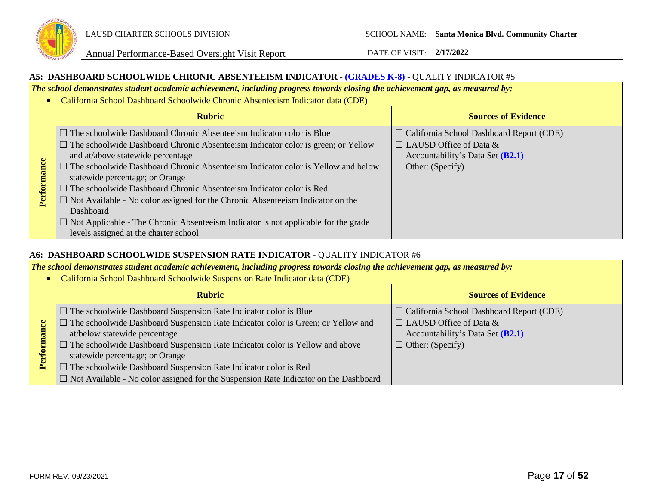

### **A5: DASHBOARD SCHOOLWIDE CHRONIC ABSENTEEISM INDICATOR** - **(GRADES K-8)** - QUALITY INDICATOR #5

*The school demonstrates student academic achievement, including progress towards closing the achievement gap, as measured by:*

• California School Dashboard Schoolwide Chronic Absenteeism Indicator data (CDE)

|        | <b>Rubric</b>                                                                                                                                                                                                                                                                                                                                                                                                                                                                                                                                                                                                                                                       | <b>Sources of Evidence</b>                                                                                                                        |
|--------|---------------------------------------------------------------------------------------------------------------------------------------------------------------------------------------------------------------------------------------------------------------------------------------------------------------------------------------------------------------------------------------------------------------------------------------------------------------------------------------------------------------------------------------------------------------------------------------------------------------------------------------------------------------------|---------------------------------------------------------------------------------------------------------------------------------------------------|
| Perfor | $\Box$ The schoolwide Dashboard Chronic Absenteeism Indicator color is Blue<br>$\Box$ The schoolwide Dashboard Chronic Absenteeism Indicator color is green; or Yellow<br>and at/above statewide percentage<br>$\Box$ The schoolwide Dashboard Chronic Absenteeism Indicator color is Yellow and below<br>statewide percentage; or Orange<br>$\Box$ The schoolwide Dashboard Chronic Absenteeism Indicator color is Red<br>$\Box$ Not Available - No color assigned for the Chronic Absenteeism Indicator on the<br>Dashboard<br>$\Box$ Not Applicable - The Chronic Absenteeism Indicator is not applicable for the grade<br>levels assigned at the charter school | $\Box$ California School Dashboard Report (CDE)<br>$\Box$ LAUSD Office of Data &<br>Accountability's Data Set $(B2.1)$<br>$\Box$ Other: (Specify) |

### **A6: DASHBOARD SCHOOLWIDE SUSPENSION RATE INDICATOR** - QUALITY INDICATOR #6

*The school demonstrates student academic achievement, including progress towards closing the achievement gap, as measured by:*

• California School Dashboard Schoolwide Suspension Rate Indicator data (CDE)

| <b>Rubric</b> |                                                                                             | <b>Sources of Evidence</b>                      |  |
|---------------|---------------------------------------------------------------------------------------------|-------------------------------------------------|--|
|               | $\Box$ The schoolwide Dashboard Suspension Rate Indicator color is Blue                     | $\Box$ California School Dashboard Report (CDE) |  |
|               | $\Box$ The schoolwide Dashboard Suspension Rate Indicator color is Green; or Yellow and     | $\Box$ LAUSD Office of Data &                   |  |
|               | at/below statewide percentage                                                               | Accountability's Data Set (B2.1)                |  |
|               | $\Box$ The schoolwide Dashboard Suspension Rate Indicator color is Yellow and above         | $\Box$ Other: (Specify)                         |  |
|               | statewide percentage; or Orange                                                             |                                                 |  |
|               | $\Box$ The schoolwide Dashboard Suspension Rate Indicator color is Red                      |                                                 |  |
|               | $\Box$ Not Available - No color assigned for the Suspension Rate Indicator on the Dashboard |                                                 |  |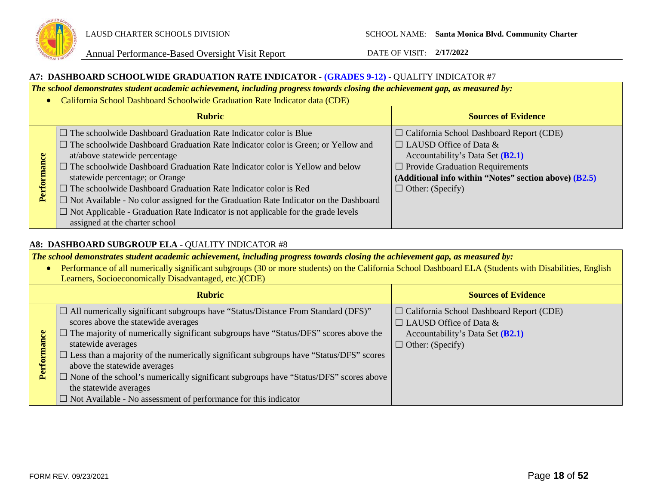

### **A7: DASHBOARD SCHOOLWIDE GRADUATION RATE INDICATOR - (GRADES 9-12)** - QUALITY INDICATOR #7

*The school demonstrates student academic achievement, including progress towards closing the achievement gap, as measured by:*

• California School Dashboard Schoolwide Graduation Rate Indicator data (CDE)

| <b>Rubric</b>    |                                                                                                                                                                                                                                                                                                                                                                                                                                                                                                                                                                                                                                      | <b>Sources of Evidence</b>                                                                                                                                                                                                                           |
|------------------|--------------------------------------------------------------------------------------------------------------------------------------------------------------------------------------------------------------------------------------------------------------------------------------------------------------------------------------------------------------------------------------------------------------------------------------------------------------------------------------------------------------------------------------------------------------------------------------------------------------------------------------|------------------------------------------------------------------------------------------------------------------------------------------------------------------------------------------------------------------------------------------------------|
| nance<br>Perform | $\Box$ The schoolwide Dashboard Graduation Rate Indicator color is Blue<br>$\Box$ The schoolwide Dashboard Graduation Rate Indicator color is Green; or Yellow and<br>at/above statewide percentage<br>$\Box$ The schoolwide Dashboard Graduation Rate Indicator color is Yellow and below<br>statewide percentage; or Orange<br>$\Box$ The schoolwide Dashboard Graduation Rate Indicator color is Red<br>$\Box$ Not Available - No color assigned for the Graduation Rate Indicator on the Dashboard<br>$\Box$ Not Applicable - Graduation Rate Indicator is not applicable for the grade levels<br>assigned at the charter school | $\Box$ California School Dashboard Report (CDE)<br>$\Box$ LAUSD Office of Data &<br>Accountability's Data Set (B2.1)<br>$\Box$ Provide Graduation Requirements<br>(Additional info within "Notes" section above) $(B2.5)$<br>$\Box$ Other: (Specify) |

## **A8: DASHBOARD SUBGROUP ELA** - QUALITY INDICATOR #8

*The school demonstrates student academic achievement, including progress towards closing the achievement gap, as measured by:*

• Performance of all numerically significant subgroups (30 or more students) on the California School Dashboard ELA (Students with Disabilities, English Learners, Socioeconomically Disadvantaged, etc.)(CDE) **Rubric Sources of Evidence**  $\Box$  All numerically significant subgroups have "Status/Distance From Standard (DFS)" ☐ California School Dashboard Report (CDE) scores above the statewide averages  $\Box$  LAUSD Office of Data &  $\Box$  The majority of numerically significant subgroups have "Status/DFS" scores above the Performance Accountability's Data Set **(B2.1) Performance** statewide averages  $\Box$  Other: (Specify) ☐ Less than a majority of the numerically significant subgroups have "Status/DFS" scores above the statewide averages  $\Box$  None of the school's numerically significant subgroups have "Status/DFS" scores above the statewide averages  $\Box$  Not Available - No assessment of performance for this indicator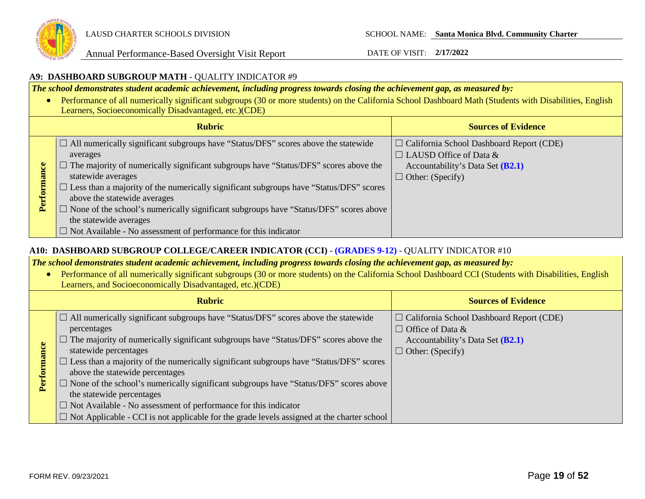

### **A9: DASHBOARD SUBGROUP MATH** - QUALITY INDICATOR #9

*The school demonstrates student academic achievement, including progress towards closing the achievement gap, as measured by:*

• Performance of all numerically significant subgroups (30 or more students) on the California School Dashboard Math (Students with Disabilities, English Learners, Socioeconomically Disadvantaged, etc.)(CDE)

| <b>Rubric</b>                                                                                                                                                                                                                                                                                                                                                                                                                                                                                                                                                             |  | <b>Sources of Evidence</b>                                                                                                                      |
|---------------------------------------------------------------------------------------------------------------------------------------------------------------------------------------------------------------------------------------------------------------------------------------------------------------------------------------------------------------------------------------------------------------------------------------------------------------------------------------------------------------------------------------------------------------------------|--|-------------------------------------------------------------------------------------------------------------------------------------------------|
| $\Box$ All numerically significant subgroups have "Status/DFS" scores above the statewide<br>averages<br>$\Box$ The majority of numerically significant subgroups have "Status/DFS" scores above the<br>statewide averages<br>$\Box$ Less than a majority of the numerically significant subgroups have "Status/DFS" scores<br>Perfor<br>above the statewide averages<br>$\Box$ None of the school's numerically significant subgroups have "Status/DFS" scores above<br>the statewide averages<br>$\Box$ Not Available - No assessment of performance for this indicator |  | $\Box$ California School Dashboard Report (CDE)<br>$\Box$ LAUSD Office of Data &<br>Accountability's Data Set (B2.1)<br>$\Box$ Other: (Specify) |

### **A10: DASHBOARD SUBGROUP COLLEGE/CAREER INDICATOR (CCI)** - **(GRADES 9-12)** - QUALITY INDICATOR #10

*The school demonstrates student academic achievement, including progress towards closing the achievement gap, as measured by:*

• Performance of all numerically significant subgroups (30 or more students) on the California School Dashboard CCI (Students with Disabilities, English Learners, and Socioeconomically Disadvantaged, etc.)(CDE)

|             | <b>Rubric</b>                                                                                                                                                                                                                                                                                                                                                                                                                                                                                                                                                                                                                                                                    | <b>Sources of Evidence</b>                                                                                                                  |
|-------------|----------------------------------------------------------------------------------------------------------------------------------------------------------------------------------------------------------------------------------------------------------------------------------------------------------------------------------------------------------------------------------------------------------------------------------------------------------------------------------------------------------------------------------------------------------------------------------------------------------------------------------------------------------------------------------|---------------------------------------------------------------------------------------------------------------------------------------------|
| Performance | $\Box$ All numerically significant subgroups have "Status/DFS" scores above the statewide<br>percentages<br>$\Box$ The majority of numerically significant subgroups have "Status/DFS" scores above the<br>statewide percentages<br>$\Box$ Less than a majority of the numerically significant subgroups have "Status/DFS" scores<br>above the statewide percentages<br>$\Box$ None of the school's numerically significant subgroups have "Status/DFS" scores above<br>the statewide percentages<br>$\Box$ Not Available - No assessment of performance for this indicator<br>$\Box$ Not Applicable - CCI is not applicable for the grade levels assigned at the charter school | $\Box$ California School Dashboard Report (CDE)<br>$\Box$ Office of Data &<br>Accountability's Data Set $(B2.1)$<br>$\Box$ Other: (Specify) |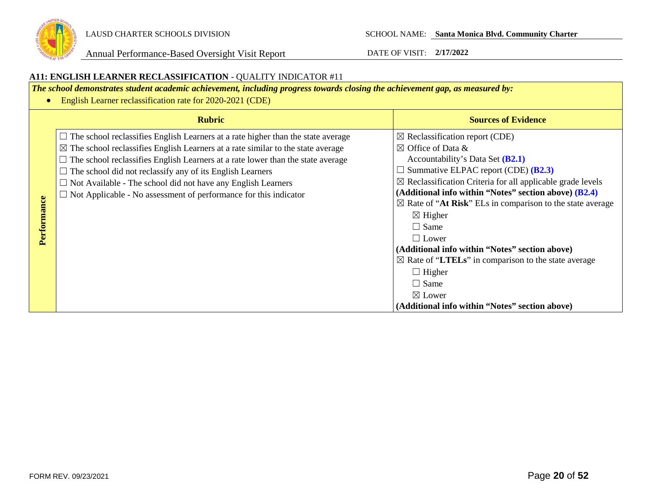

#### **A11: ENGLISH LEARNER RECLASSIFICATION** - QUALITY INDICATOR #11 *The school demonstrates student academic achievement, including progress towards closing the achievement gap, as measured by:* • English Learner reclassification rate for 2020-2021 (CDE) **Rubric Sources of Evidence**  $\Box$  The school reclassifies English Learners at a rate higher than the state average  $\boxtimes$  Reclassification report (CDE)  $\boxtimes$  The school reclassifies English Learners at a rate similar to the state average  $\boxtimes$  Office of Data &  $\Box$  The school reclassifies English Learners at a rate lower than the state average Accountability's Data Set **(B2.1)** ☐ Summative ELPAC report (CDE) **(B2.3)**  $\Box$  The school did not reclassify any of its English Learners  $\boxtimes$  Reclassification Criteria for all applicable grade levels  $\Box$  Not Available - The school did not have any English Learners **(Additional info within "Notes" section above) (B2.4)** ☐ Not Applicable - No assessment of performance for this indicator Performance **Performance**  $\boxtimes$  Rate of "At Risk" ELs in comparison to the state average  $\boxtimes$  Higher  $\Box$  Same  $\Box$  Lower **(Additional info within "Notes" section above)**  ☒ Rate of "**LTELs**" in comparison to the state average  $\Box$  Higher  $\Box$  Same ☒ Lower **(Additional info within "Notes" section above)**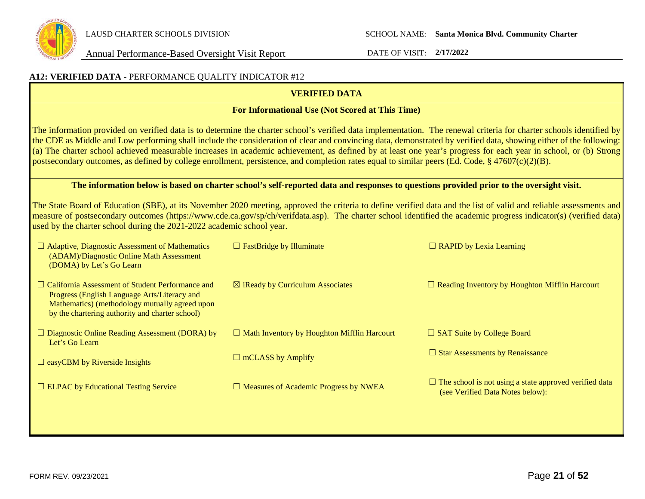

# **A12: VERIFIED DATA** - PERFORMANCE QUALITY INDICATOR #12 **VERIFIED DATA For Informational Use (Not Scored at This Time)**

The information provided on verified data is to determine the charter school's verified data implementation. The renewal criteria for charter schools identified by the CDE as Middle and Low performing shall include the consideration of clear and convincing data, demonstrated by verified data, showing either of the following: (a) The charter school achieved measurable increases in academic achievement, as defined by at least one year's progress for each year in school, or (b) Strong postsecondary outcomes, as defined by college enrollment, persistence, and completion rates equal to similar peers (Ed. Code, § 47607(c)(2)(B).

### **The information below is based on charter school's self-reported data and responses to questions provided prior to the oversight visit.**

The State Board of Education (SBE), at its November 2020 meeting, approved the criteria to define verified data and the list of valid and reliable assessments and measure of postsecondary outcomes (https://www.cde.ca.gov/sp/ch/verifdata.asp). The charter school identified the academic progress indicator(s) (verified data) used by the charter school during the 2021-2022 academic school year.

| $\Box$ Adaptive, Diagnostic Assessment of Mathematics<br>(ADAM)/Diagnostic Online Math Assessment<br>(DOMA) by Let's Go Learn                                                                                | $\Box$ FastBridge by Illuminate                    | $\Box$ RAPID by Lexia Learning                                                                    |
|--------------------------------------------------------------------------------------------------------------------------------------------------------------------------------------------------------------|----------------------------------------------------|---------------------------------------------------------------------------------------------------|
| $\Box$ California Assessment of Student Performance and<br>Progress (English Language Arts/Literacy and<br>Mathematics) (methodology mutually agreed upon<br>by the chartering authority and charter school) | $\boxtimes$ iReady by Curriculum Associates        | $\Box$ Reading Inventory by Houghton Mifflin Harcourt                                             |
| $\Box$ Diagnostic Online Reading Assessment (DORA) by<br>Let's Go Learn                                                                                                                                      | $\Box$ Math Inventory by Houghton Mifflin Harcourt | $\Box$ SAT Suite by College Board                                                                 |
| $\Box$ easyCBM by Riverside Insights                                                                                                                                                                         | $\Box$ mCLASS by Amplify                           | $\Box$ Star Assessments by Renaissance                                                            |
| $\Box$ ELPAC by Educational Testing Service                                                                                                                                                                  | $\Box$ Measures of Academic Progress by NWEA       | $\Box$ The school is not using a state approved verified data<br>(see Verified Data Notes below): |
|                                                                                                                                                                                                              |                                                    |                                                                                                   |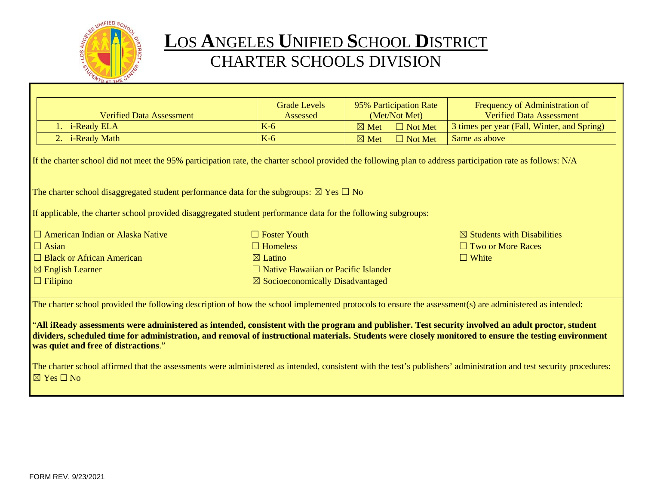

# **L**OS **A**NGELES **U**NIFIED **S**CHOOL **D**ISTRICT CHARTER SCHOOLS DIVISION

|                                                                                                                                                                                                                                                                                                                                                      | <b>Grade Levels</b>                         | 95% Participation Rate            | Frequency of Administration of              |  |
|------------------------------------------------------------------------------------------------------------------------------------------------------------------------------------------------------------------------------------------------------------------------------------------------------------------------------------------------------|---------------------------------------------|-----------------------------------|---------------------------------------------|--|
| <b>Verified Data Assessment</b>                                                                                                                                                                                                                                                                                                                      | Assessed                                    | (Met/Not Met)                     | <b>Verified Data Assessment</b>             |  |
| 1. i-Ready ELA                                                                                                                                                                                                                                                                                                                                       | $K-6$                                       | $\boxtimes$ Met<br>$\Box$ Not Met | 3 times per year (Fall, Winter, and Spring) |  |
| 2. i-Ready Math                                                                                                                                                                                                                                                                                                                                      | $K-6$                                       | $\Box$ Not Met<br>$\boxtimes$ Met | Same as above                               |  |
| If the charter school did not meet the 95% participation rate, the charter school provided the following plan to address participation rate as follows: N/A                                                                                                                                                                                          |                                             |                                   |                                             |  |
| The charter school disaggregated student performance data for the subgroups: $\boxtimes$ Yes $\Box$ No                                                                                                                                                                                                                                               |                                             |                                   |                                             |  |
| If applicable, the charter school provided disaggregated student performance data for the following subgroups:                                                                                                                                                                                                                                       |                                             |                                   |                                             |  |
| $\Box$ American Indian or Alaska Native                                                                                                                                                                                                                                                                                                              | $\Box$ Foster Youth                         |                                   | $\boxtimes$ Students with Disabilities      |  |
| $\Box$ Asian                                                                                                                                                                                                                                                                                                                                         | $\Box$ Homeless                             |                                   | $\Box$ Two or More Races                    |  |
| $\Box$ Black or African American                                                                                                                                                                                                                                                                                                                     | $\boxtimes$ Latino                          |                                   | $\Box$ White                                |  |
| $\boxtimes$ English Learner                                                                                                                                                                                                                                                                                                                          | $\Box$ Native Hawaiian or Pacific Islander  |                                   |                                             |  |
| $\Box$ Filipino                                                                                                                                                                                                                                                                                                                                      | $\boxtimes$ Socioeconomically Disadvantaged |                                   |                                             |  |
| The charter school provided the following description of how the school implemented protocols to ensure the assessment(s) are administered as intended:                                                                                                                                                                                              |                                             |                                   |                                             |  |
| "All iReady assessments were administered as intended, consistent with the program and publisher. Test security involved an adult proctor, student<br>dividers, scheduled time for administration, and removal of instructional materials. Students were closely monitored to ensure the testing environment<br>was quiet and free of distractions." |                                             |                                   |                                             |  |
| The charter school affirmed that the assessments were administered as intended, consistent with the test's publishers' administration and test security procedures:<br>$\boxtimes$ Yes $\Box$ No                                                                                                                                                     |                                             |                                   |                                             |  |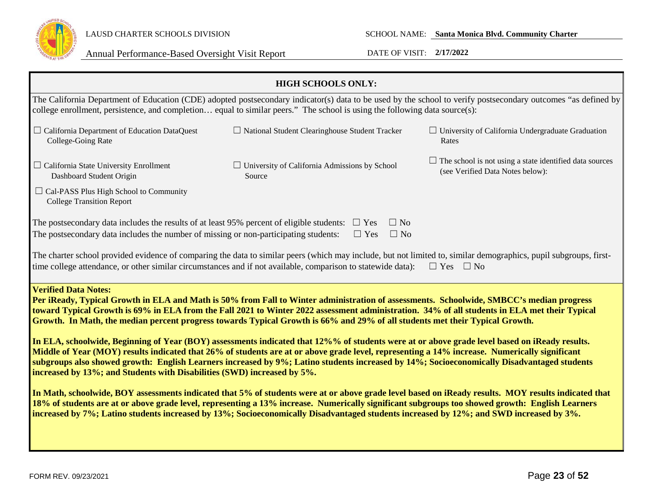

| <b>HIGH SCHOOLS ONLY:</b>                                                                                                                                                                                                                                                                                                                                                                                                                                                                                                                                                                                                                                                                                                                                                                                                                                                                                                                                                                                                                                                                                                                                                                                                                                                                                                                                                                                                               |                                                                                                                            |                                                                                                                                                               |  |
|-----------------------------------------------------------------------------------------------------------------------------------------------------------------------------------------------------------------------------------------------------------------------------------------------------------------------------------------------------------------------------------------------------------------------------------------------------------------------------------------------------------------------------------------------------------------------------------------------------------------------------------------------------------------------------------------------------------------------------------------------------------------------------------------------------------------------------------------------------------------------------------------------------------------------------------------------------------------------------------------------------------------------------------------------------------------------------------------------------------------------------------------------------------------------------------------------------------------------------------------------------------------------------------------------------------------------------------------------------------------------------------------------------------------------------------------|----------------------------------------------------------------------------------------------------------------------------|---------------------------------------------------------------------------------------------------------------------------------------------------------------|--|
|                                                                                                                                                                                                                                                                                                                                                                                                                                                                                                                                                                                                                                                                                                                                                                                                                                                                                                                                                                                                                                                                                                                                                                                                                                                                                                                                                                                                                                         | college enrollment, persistence, and completion equal to similar peers." The school is using the following data source(s): | The California Department of Education (CDE) adopted postsecondary indicator(s) data to be used by the school to verify postsecondary outcomes "as defined by |  |
| $\Box$ California Department of Education DataQuest<br>College-Going Rate                                                                                                                                                                                                                                                                                                                                                                                                                                                                                                                                                                                                                                                                                                                                                                                                                                                                                                                                                                                                                                                                                                                                                                                                                                                                                                                                                               | $\Box$ National Student Clearinghouse Student Tracker                                                                      | $\Box$ University of California Undergraduate Graduation<br>Rates                                                                                             |  |
| $\Box$ California State University Enrollment<br>Dashboard Student Origin                                                                                                                                                                                                                                                                                                                                                                                                                                                                                                                                                                                                                                                                                                                                                                                                                                                                                                                                                                                                                                                                                                                                                                                                                                                                                                                                                               | $\Box$ University of California Admissions by School<br>Source                                                             | $\Box$ The school is not using a state identified data sources<br>(see Verified Data Notes below):                                                            |  |
| $\Box$ Cal-PASS Plus High School to Community<br><b>College Transition Report</b>                                                                                                                                                                                                                                                                                                                                                                                                                                                                                                                                                                                                                                                                                                                                                                                                                                                                                                                                                                                                                                                                                                                                                                                                                                                                                                                                                       |                                                                                                                            |                                                                                                                                                               |  |
| The postsecondary data includes the results of at least 95% percent of eligible students:<br>The postsecondary data includes the number of missing or non-participating students:                                                                                                                                                                                                                                                                                                                                                                                                                                                                                                                                                                                                                                                                                                                                                                                                                                                                                                                                                                                                                                                                                                                                                                                                                                                       | $\Box$ No<br>$\Box$ Yes<br>$\Box$ No<br>$\Box$ Yes                                                                         |                                                                                                                                                               |  |
| The charter school provided evidence of comparing the data to similar peers (which may include, but not limited to, similar demographics, pupil subgroups, first-<br>time college attendance, or other similar circumstances and if not available, comparison to statewide data):<br>$\Box$ Yes<br>$\Box$ No                                                                                                                                                                                                                                                                                                                                                                                                                                                                                                                                                                                                                                                                                                                                                                                                                                                                                                                                                                                                                                                                                                                            |                                                                                                                            |                                                                                                                                                               |  |
| <b>Verified Data Notes:</b><br>Per iReady, Typical Growth in ELA and Math is 50% from Fall to Winter administration of assessments. Schoolwide, SMBCC's median progress<br>toward Typical Growth is 69% in ELA from the Fall 2021 to Winter 2022 assessment administration. 34% of all students in ELA met their Typical<br>Growth. In Math, the median percent progress towards Typical Growth is 66% and 29% of all students met their Typical Growth.<br>In ELA, schoolwide, Beginning of Year (BOY) assessments indicated that 12%% of students were at or above grade level based on iReady results.<br>Middle of Year (MOY) results indicated that 26% of students are at or above grade level, representing a 14% increase. Numerically significant<br>subgroups also showed growth: English Learners increased by 9%; Latino students increased by 14%; Socioeconomically Disadvantaged students<br>increased by 13%; and Students with Disabilities (SWD) increased by 5%.<br>In Math, schoolwide, BOY assessments indicated that 5% of students were at or above grade level based on iReady results. MOY results indicated that<br>18% of students are at or above grade level, representing a 13% increase. Numerically significant subgroups too showed growth: English Learners<br>increased by 7%; Latino students increased by 13%; Socioeconomically Disadvantaged students increased by 12%; and SWD increased by 3%. |                                                                                                                            |                                                                                                                                                               |  |
|                                                                                                                                                                                                                                                                                                                                                                                                                                                                                                                                                                                                                                                                                                                                                                                                                                                                                                                                                                                                                                                                                                                                                                                                                                                                                                                                                                                                                                         |                                                                                                                            |                                                                                                                                                               |  |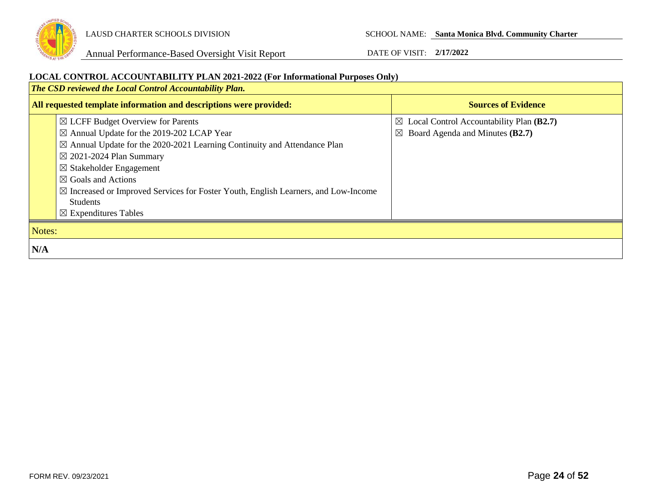

**LOCAL CONTROL ACCOUNTABILITY PLAN 2021-2022 (For Informational Purposes Only)** *The CSD reviewed the Local Control Accountability Plan.*  **All requested template information and descriptions were provided: Sources of Evidence Sources of Evidence** ☒ LCFF Budget Overview for Parents ☒ Annual Update for the 2019-202 LCAP Year  $\boxtimes$  Annual Update for the 2020-2021 Learning Continuity and Attendance Plan ☒ 2021-2024 Plan Summary ☒ Stakeholder Engagement ☒ Goals and Actions ☒ Increased or Improved Services for Foster Youth, English Learners, and Low-Income Students ☒ Expenditures Tables ☒ Local Control Accountability Plan **(B2.7)** ☒ Board Agenda and Minutes **(B2.7)** Notes: **N/A**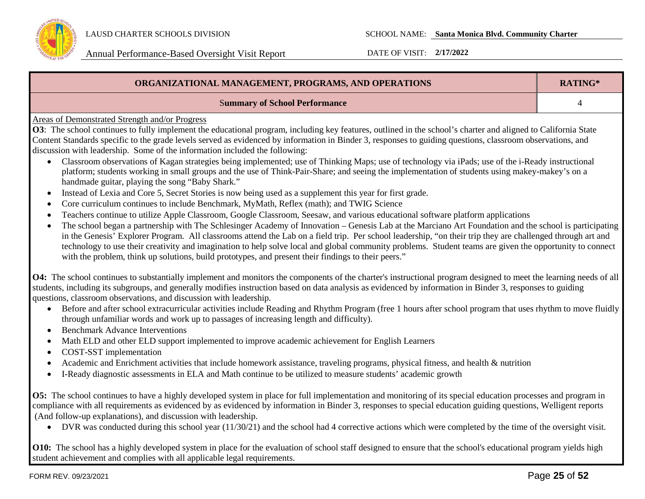

| ORGANIZATIONAL MANAGEMENT, PROGRAMS, AND OPERATIONS                                                                                                                                                                                                                                                                                                                                                                                                                                                                                                                                                                                                                                                                                                                                                                                                                                                                                                                                                                                                                                                                                                                                                                                                                                                                                                                                                                                                                                                                                                                                                                                                                                                                                                                            |  |  |
|--------------------------------------------------------------------------------------------------------------------------------------------------------------------------------------------------------------------------------------------------------------------------------------------------------------------------------------------------------------------------------------------------------------------------------------------------------------------------------------------------------------------------------------------------------------------------------------------------------------------------------------------------------------------------------------------------------------------------------------------------------------------------------------------------------------------------------------------------------------------------------------------------------------------------------------------------------------------------------------------------------------------------------------------------------------------------------------------------------------------------------------------------------------------------------------------------------------------------------------------------------------------------------------------------------------------------------------------------------------------------------------------------------------------------------------------------------------------------------------------------------------------------------------------------------------------------------------------------------------------------------------------------------------------------------------------------------------------------------------------------------------------------------|--|--|
| <b>Summary of School Performance</b>                                                                                                                                                                                                                                                                                                                                                                                                                                                                                                                                                                                                                                                                                                                                                                                                                                                                                                                                                                                                                                                                                                                                                                                                                                                                                                                                                                                                                                                                                                                                                                                                                                                                                                                                           |  |  |
| <b>Areas of Demonstrated Strength and/or Progress</b><br>O3: The school continues to fully implement the educational program, including key features, outlined in the school's charter and aligned to California State<br>Content Standards specific to the grade levels served as evidenced by information in Binder 3, responses to guiding questions, classroom observations, and<br>discussion with leadership. Some of the information included the following:<br>Classroom observations of Kagan strategies being implemented; use of Thinking Maps; use of technology via iPads; use of the i-Ready instructional<br>$\bullet$<br>platform; students working in small groups and the use of Think-Pair-Share; and seeing the implementation of students using makey-makey's on a<br>handmade guitar, playing the song "Baby Shark."<br>Instead of Lexia and Core 5, Secret Stories is now being used as a supplement this year for first grade.<br>Core curriculum continues to include Benchmark, MyMath, Reflex (math); and TWIG Science<br>Teachers continue to utilize Apple Classroom, Google Classroom, Seesaw, and various educational software platform applications<br>The school began a partnership with The Schlesinger Academy of Innovation – Genesis Lab at the Marciano Art Foundation and the school is participating<br>in the Genesis' Explorer Program. All classrooms attend the Lab on a field trip. Per school leadership, "on their trip they are challenged through art and<br>technology to use their creativity and imagination to help solve local and global community problems. Student teams are given the opportunity to connect<br>with the problem, think up solutions, build prototypes, and present their findings to their peers." |  |  |
| O4: The school continues to substantially implement and monitors the components of the charter's instructional program designed to meet the learning needs of all<br>students, including its subgroups, and generally modifies instruction based on data analysis as evidenced by information in Binder 3, responses to guiding<br>questions, classroom observations, and discussion with leadership.<br>Before and after school extracurricular activities include Reading and Rhythm Program (free 1 hours after school program that uses rhythm to move fluidly<br>$\bullet$<br>through unfamiliar words and work up to passages of increasing length and difficulty).<br><b>Benchmark Advance Interventions</b><br>Math ELD and other ELD support implemented to improve academic achievement for English Learners<br>COST-SST implementation<br>Academic and Enrichment activities that include homework assistance, traveling programs, physical fitness, and health & nutrition<br>I-Ready diagnostic assessments in ELA and Math continue to be utilized to measure students' academic growth                                                                                                                                                                                                                                                                                                                                                                                                                                                                                                                                                                                                                                                                          |  |  |
| O5: The school continues to have a highly developed system in place for full implementation and monitoring of its special education processes and program in<br>compliance with all requirements as evidenced by as evidenced by information in Binder 3, responses to special education guiding questions, Welligent reports<br>(And follow-up explanations), and discussion with leadership.<br>$\bullet$ DVR was conducted during this school year (11/30/21) and the school had 4 corrective actions which were completed by the time of the oversight visit                                                                                                                                                                                                                                                                                                                                                                                                                                                                                                                                                                                                                                                                                                                                                                                                                                                                                                                                                                                                                                                                                                                                                                                                               |  |  |

• DVR was conducted during this school year (11/30/21) and the school had 4 corrective actions which were completed by the time of the oversight visit.

**O10:** The school has a highly developed system in place for the evaluation of school staff designed to ensure that the school's educational program yields high student achievement and complies with all applicable legal requirements.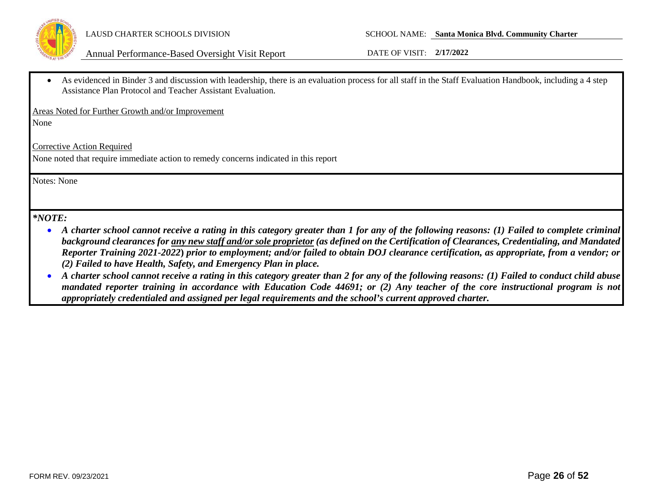

As evidenced in Binder 3 and discussion with leadership, there is an evaluation process for all staff in the Staff Evaluation Handbook, including a 4 step Assistance Plan Protocol and Teacher Assistant Evaluation.

Areas Noted for Further Growth and/or Improvement

None

Corrective Action Required

None noted that require immediate action to remedy concerns indicated in this report

Notes: None

# *\*NOTE:*

- *A charter school cannot receive a rating in this category greater than 1 for any of the following reasons: (1) Failed to complete criminal background clearances for any new staff and/or sole proprietor (as defined on the Certification of Clearances, Credentialing, and Mandated Reporter Training 2021-2022***)** *prior to employment; and/or failed to obtain DOJ clearance certification, as appropriate, from a vendor; or (2) Failed to have Health, Safety, and Emergency Plan in place.*
- *A charter school cannot receive a rating in this category greater than 2 for any of the following reasons: (1) Failed to conduct child abuse mandated reporter training in accordance with Education Code 44691; or (2) Any teacher of the core instructional program is not appropriately credentialed and assigned per legal requirements and the school's current approved charter.*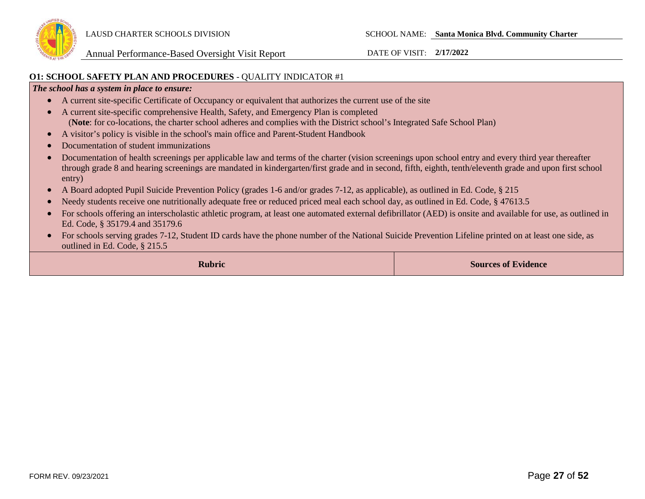

### **O1: SCHOOL SAFETY PLAN AND PROCEDURES** - QUALITY INDICATOR #1

### *The school has a system in place to ensure:*

- A current site-specific Certificate of Occupancy or equivalent that authorizes the current use of the site
- A current site-specific comprehensive Health, Safety, and Emergency Plan is completed (**Note**: for co-locations, the charter school adheres and complies with the District school's Integrated Safe School Plan)
- A visitor's policy is visible in the school's main office and Parent-Student Handbook
- Documentation of student immunizations
- Documentation of health screenings per applicable law and terms of the charter (vision screenings upon school entry and every third year thereafter through grade 8 and hearing screenings are mandated in kindergarten/first grade and in second, fifth, eighth, tenth/eleventh grade and upon first school entry)
- A Board adopted Pupil Suicide Prevention Policy (grades 1-6 and/or grades 7-12, as applicable), as outlined in Ed. Code, § 215
- Needy students receive one nutritionally adequate free or reduced priced meal each school day, as outlined in Ed. Code, § 47613.5
- For schools offering an interscholastic athletic program, at least one automated external defibrillator (AED) is onsite and available for use, as outlined in Ed. Code, § 35179.4 and 35179.6
- For schools serving grades 7-12, Student ID cards have the phone number of the National Suicide Prevention Lifeline printed on at least one side, as outlined in Ed. Code, § 215.5

**Rubric Sources of Evidence Sources of Evidence**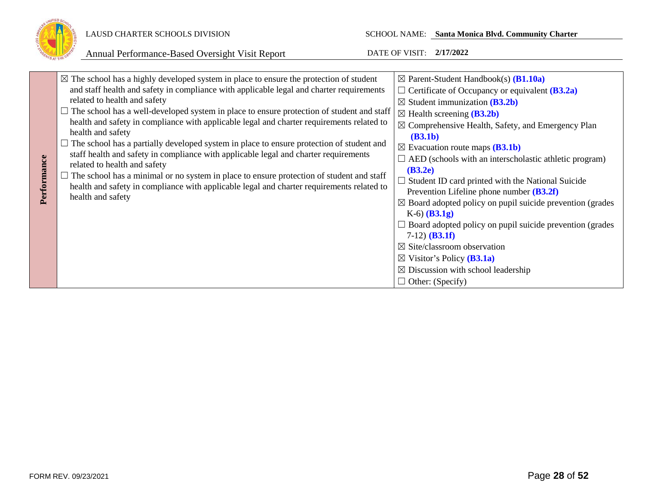

|             | $\boxtimes$ The school has a highly developed system in place to ensure the protection of student                    | $\boxtimes$ Parent-Student Handbook(s) (B1.10a)                       |
|-------------|----------------------------------------------------------------------------------------------------------------------|-----------------------------------------------------------------------|
|             | and staff health and safety in compliance with applicable legal and charter requirements                             | $\Box$ Certificate of Occupancy or equivalent ( <b>B3.2a</b> )        |
|             | related to health and safety                                                                                         | $\boxtimes$ Student immunization (B3.2b)                              |
|             | $\Box$ The school has a well-developed system in place to ensure protection of student and staff                     | $\boxtimes$ Health screening ( <b>B3.2b</b> )                         |
|             | health and safety in compliance with applicable legal and charter requirements related to                            | $\boxtimes$ Comprehensive Health, Safety, and Emergency Plan          |
|             | health and safety                                                                                                    | (B3.1b)                                                               |
|             | $\Box$ The school has a partially developed system in place to ensure protection of student and                      | $\boxtimes$ Evacuation route maps ( <b>B3.1b</b> )                    |
|             | staff health and safety in compliance with applicable legal and charter requirements<br>related to health and safety | $\Box$ AED (schools with an interscholastic athletic program)         |
| Performance | The school has a minimal or no system in place to ensure protection of student and staff                             | (B3.2e)                                                               |
|             | health and safety in compliance with applicable legal and charter requirements related to                            | $\Box$ Student ID card printed with the National Suicide              |
|             | health and safety                                                                                                    | Prevention Lifeline phone number $(B3.2f)$                            |
|             |                                                                                                                      | $\boxtimes$ Board adopted policy on pupil suicide prevention (grades) |
|             |                                                                                                                      | $K-6$ (B3.1g)                                                         |
|             |                                                                                                                      | $\Box$ Board adopted policy on pupil suicide prevention (grades       |
|             |                                                                                                                      | $7-12)$ ( <b>B3.1f</b> )                                              |
|             |                                                                                                                      | $\boxtimes$ Site/classroom observation                                |
|             |                                                                                                                      | $\boxtimes$ Visitor's Policy ( <b>B3.1a</b> )                         |
|             |                                                                                                                      | $\boxtimes$ Discussion with school leadership                         |
|             |                                                                                                                      | $\Box$ Other: (Specify)                                               |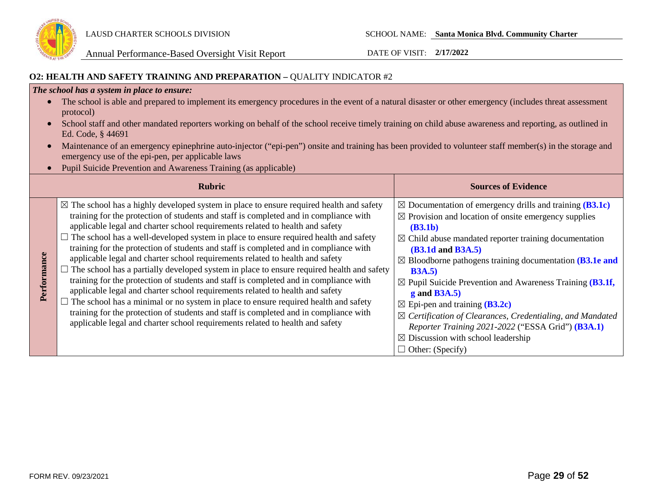

### **O2: HEALTH AND SAFETY TRAINING AND PREPARATION –** QUALITY INDICATOR #2

### *The school has a system in place to ensure:*

- The school is able and prepared to implement its emergency procedures in the event of a natural disaster or other emergency (includes threat assessment protocol)
- School staff and other mandated reporters working on behalf of the school receive timely training on child abuse awareness and reporting, as outlined in Ed. Code, § 44691
- Maintenance of an emergency epinephrine auto-injector ("epi-pen") onsite and training has been provided to volunteer staff member(s) in the storage and emergency use of the epi-pen, per applicable laws
- Pupil Suicide Prevention and Awareness Training (as applicable)

|             | <b>Rubric</b>                                                                                                                                                                                                                                                                                                                                                                                                                                                                                                                                                                                                                                                                                                                                                                                                                                                                                                                                                                                                                                                                                 | <b>Sources of Evidence</b>                                                                                                                                                                                                                                                                                                                                                                                                                                                                                                                                                                                                                                                             |
|-------------|-----------------------------------------------------------------------------------------------------------------------------------------------------------------------------------------------------------------------------------------------------------------------------------------------------------------------------------------------------------------------------------------------------------------------------------------------------------------------------------------------------------------------------------------------------------------------------------------------------------------------------------------------------------------------------------------------------------------------------------------------------------------------------------------------------------------------------------------------------------------------------------------------------------------------------------------------------------------------------------------------------------------------------------------------------------------------------------------------|----------------------------------------------------------------------------------------------------------------------------------------------------------------------------------------------------------------------------------------------------------------------------------------------------------------------------------------------------------------------------------------------------------------------------------------------------------------------------------------------------------------------------------------------------------------------------------------------------------------------------------------------------------------------------------------|
| Performance | $\boxtimes$ The school has a highly developed system in place to ensure required health and safety<br>training for the protection of students and staff is completed and in compliance with<br>applicable legal and charter school requirements related to health and safety<br>The school has a well-developed system in place to ensure required health and safety<br>training for the protection of students and staff is completed and in compliance with<br>applicable legal and charter school requirements related to health and safety<br>$\Box$ The school has a partially developed system in place to ensure required health and safety<br>training for the protection of students and staff is completed and in compliance with<br>applicable legal and charter school requirements related to health and safety<br>The school has a minimal or no system in place to ensure required health and safety<br>training for the protection of students and staff is completed and in compliance with<br>applicable legal and charter school requirements related to health and safety | $\boxtimes$ Documentation of emergency drills and training (B3.1c)<br>$\boxtimes$ Provision and location of onsite emergency supplies<br>(B3.1b)<br>$\boxtimes$ Child abuse mandated reporter training documentation<br><b>(B3.1d and B3A.5)</b><br>$\boxtimes$ Bloodborne pathogens training documentation (B3.1e and<br>B3A.5<br>$\boxtimes$ Pupil Suicide Prevention and Awareness Training (B3.1f,<br>$g$ and B3A.5)<br>$\boxtimes$ Epi-pen and training ( <b>B3.2c</b> )<br>$\boxtimes$ Certification of Clearances, Credentialing, and Mandated<br>Reporter Training 2021-2022 ("ESSA Grid") (B3A.1)<br>$\boxtimes$ Discussion with school leadership<br>$\Box$ Other: (Specify) |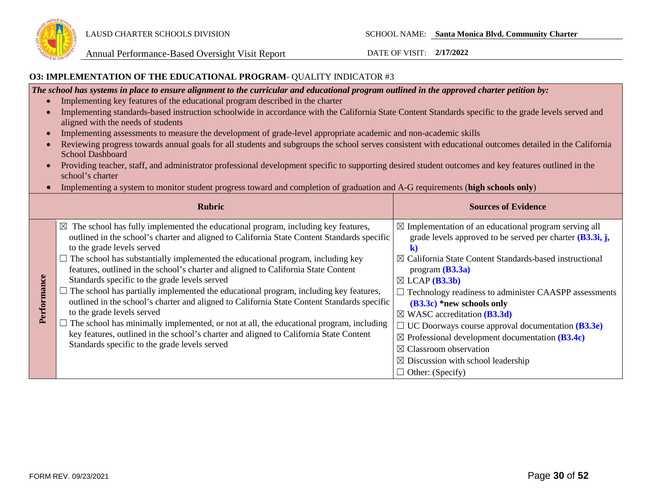

### **O3: IMPLEMENTATION OF THE EDUCATIONAL PROGRAM**- QUALITY INDICATOR #3

*The school has systems in place to ensure alignment to the curricular and educational program outlined in the approved charter petition by:*

- Implementing key features of the educational program described in the charter
- Implementing standards-based instruction schoolwide in accordance with the California State Content Standards specific to the grade levels served and aligned with the needs of students
- Implementing assessments to measure the development of grade-level appropriate academic and non-academic skills
- Reviewing progress towards annual goals for all students and subgroups the school serves consistent with educational outcomes detailed in the California School Dashboard
- Providing teacher, staff, and administrator professional development specific to supporting desired student outcomes and key features outlined in the school's charter
- Implementing a system to monitor student progress toward and completion of graduation and A-G requirements (**high schools only**)

|             | <b>Rubric</b>                                                                                                                                                                                                                                                                                                                                                                                                                                                                                                                                                                                                                                                                                                                                                                                                                                                                                                                  | <b>Sources of Evidence</b>                                                                                                                                                                                                                                                                                                                                                                                                                                                                                                                                                                                                                                   |
|-------------|--------------------------------------------------------------------------------------------------------------------------------------------------------------------------------------------------------------------------------------------------------------------------------------------------------------------------------------------------------------------------------------------------------------------------------------------------------------------------------------------------------------------------------------------------------------------------------------------------------------------------------------------------------------------------------------------------------------------------------------------------------------------------------------------------------------------------------------------------------------------------------------------------------------------------------|--------------------------------------------------------------------------------------------------------------------------------------------------------------------------------------------------------------------------------------------------------------------------------------------------------------------------------------------------------------------------------------------------------------------------------------------------------------------------------------------------------------------------------------------------------------------------------------------------------------------------------------------------------------|
| Performance | $\boxtimes$ The school has fully implemented the educational program, including key features,<br>outlined in the school's charter and aligned to California State Content Standards specific<br>to the grade levels served<br>$\Box$ The school has substantially implemented the educational program, including key<br>features, outlined in the school's charter and aligned to California State Content<br>Standards specific to the grade levels served<br>$\Box$ The school has partially implemented the educational program, including key features,<br>outlined in the school's charter and aligned to California State Content Standards specific<br>to the grade levels served<br>The school has minimally implemented, or not at all, the educational program, including<br>key features, outlined in the school's charter and aligned to California State Content<br>Standards specific to the grade levels served | $\boxtimes$ Implementation of an educational program serving all<br>grade levels approved to be served per charter $(B3.3i, j,$<br>$\boxtimes$ California State Content Standards-based instructional<br>program $(B3.3a)$<br>$\boxtimes$ LCAP ( <b>B3.3b</b> )<br>$\Box$ Technology readiness to administer CAASPP assessments<br>$(B3.3c)$ *new schools only<br>$\boxtimes$ WASC accreditation (B3.3d)<br>$\Box$ UC Doorways course approval documentation ( <b>B3.3e</b> )<br>$\boxtimes$ Professional development documentation (B3.4c)<br>$\boxtimes$ Classroom observation<br>$\boxtimes$ Discussion with school leadership<br>$\Box$ Other: (Specify) |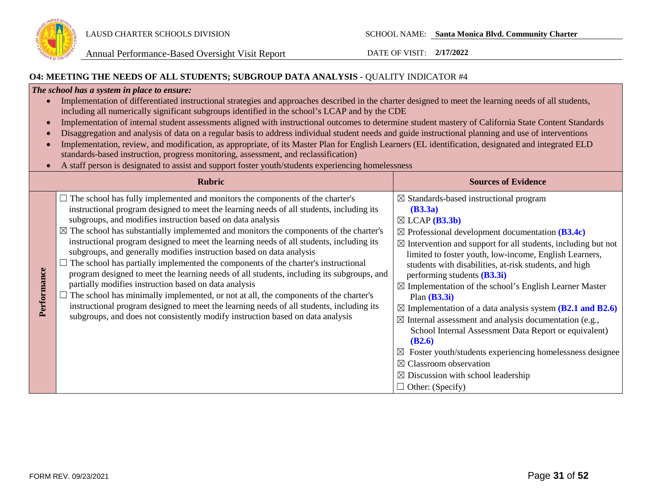

### **O4: MEETING THE NEEDS OF ALL STUDENTS; SUBGROUP DATA ANALYSIS -** QUALITY INDICATOR #4

### *The school has a system in place to ensure:*

| Implementation of differentiated instructional strategies and approaches described in the charter designed to meet the learning needs of all students, |
|--------------------------------------------------------------------------------------------------------------------------------------------------------|
| including all numerically significant subgroups identified in the school's LCAP and by the CDE                                                         |

- Implementation of internal student assessments aligned with instructional outcomes to determine student mastery of California State Content Standards
- Disaggregation and analysis of data on a regular basis to address individual student needs and guide instructional planning and use of interventions
- Implementation, review, and modification, as appropriate, of its Master Plan for English Learners (EL identification, designated and integrated ELD standards-based instruction, progress monitoring, assessment, and reclassification)
- A staff person is designated to assist and support foster youth/students experiencing homelessness

|             | <b>Rubric</b>                                                                                                                                                                                                                                                                                                                                                                                                                                                                                                                                                                                                                                                                                                                                                                                                                                                                                                                                                                                                                                           | <b>Sources of Evidence</b>                                                                                                                                                                                                                                                                                                                                                                                                                                                                                                                                                                                                                                                                                                                                                                                                                                                           |
|-------------|---------------------------------------------------------------------------------------------------------------------------------------------------------------------------------------------------------------------------------------------------------------------------------------------------------------------------------------------------------------------------------------------------------------------------------------------------------------------------------------------------------------------------------------------------------------------------------------------------------------------------------------------------------------------------------------------------------------------------------------------------------------------------------------------------------------------------------------------------------------------------------------------------------------------------------------------------------------------------------------------------------------------------------------------------------|--------------------------------------------------------------------------------------------------------------------------------------------------------------------------------------------------------------------------------------------------------------------------------------------------------------------------------------------------------------------------------------------------------------------------------------------------------------------------------------------------------------------------------------------------------------------------------------------------------------------------------------------------------------------------------------------------------------------------------------------------------------------------------------------------------------------------------------------------------------------------------------|
| Performance | $\Box$ The school has fully implemented and monitors the components of the charter's<br>instructional program designed to meet the learning needs of all students, including its<br>subgroups, and modifies instruction based on data analysis<br>$\boxtimes$ The school has substantially implemented and monitors the components of the charter's<br>instructional program designed to meet the learning needs of all students, including its<br>subgroups, and generally modifies instruction based on data analysis<br>$\Box$ The school has partially implemented the components of the charter's instructional<br>program designed to meet the learning needs of all students, including its subgroups, and<br>partially modifies instruction based on data analysis<br>$\Box$ The school has minimally implemented, or not at all, the components of the charter's<br>instructional program designed to meet the learning needs of all students, including its<br>subgroups, and does not consistently modify instruction based on data analysis | $\boxtimes$ Standards-based instructional program<br>(B3.3a)<br>$\boxtimes$ LCAP ( <b>B3.3b</b> )<br>$\boxtimes$ Professional development documentation (B3.4c)<br>$\boxtimes$ Intervention and support for all students, including but not<br>limited to foster youth, low-income, English Learners,<br>students with disabilities, at-risk students, and high<br>performing students $(B3.3i)$<br>$\boxtimes$ Implementation of the school's English Learner Master<br>Plan $(B3.3i)$<br>$\boxtimes$ Implementation of a data analysis system (B2.1 and B2.6)<br>$\boxtimes$ Internal assessment and analysis documentation (e.g.,<br>School Internal Assessment Data Report or equivalent)<br>(B2.6)<br>Foster youth/students experiencing homelessness designee<br>$\boxtimes$ Classroom observation<br>$\boxtimes$ Discussion with school leadership<br>$\Box$ Other: (Specify) |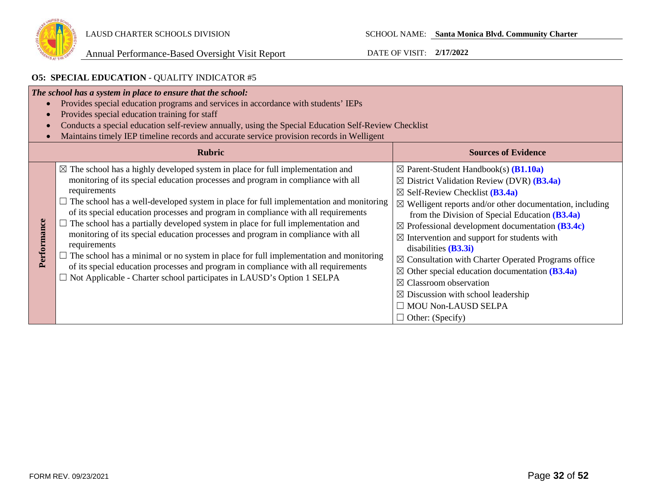

# **O5: SPECIAL EDUCATION** - QUALITY INDICATOR #5

|             | The school has a system in place to ensure that the school:<br>Provides special education programs and services in accordance with students' IEPs<br>Provides special education training for staff<br>Conducts a special education self-review annually, using the Special Education Self-Review Checklist<br>Maintains timely IEP timeline records and accurate service provision records in Welligent                                                                                                                                                                                                                                                                                                                                                                                                                                             |                                                                                                                                                                                                                                                                                                                                                                                                                                                                                                                                                                                                                                                                                                                                   |
|-------------|-----------------------------------------------------------------------------------------------------------------------------------------------------------------------------------------------------------------------------------------------------------------------------------------------------------------------------------------------------------------------------------------------------------------------------------------------------------------------------------------------------------------------------------------------------------------------------------------------------------------------------------------------------------------------------------------------------------------------------------------------------------------------------------------------------------------------------------------------------|-----------------------------------------------------------------------------------------------------------------------------------------------------------------------------------------------------------------------------------------------------------------------------------------------------------------------------------------------------------------------------------------------------------------------------------------------------------------------------------------------------------------------------------------------------------------------------------------------------------------------------------------------------------------------------------------------------------------------------------|
|             | <b>Rubric</b>                                                                                                                                                                                                                                                                                                                                                                                                                                                                                                                                                                                                                                                                                                                                                                                                                                       | <b>Sources of Evidence</b>                                                                                                                                                                                                                                                                                                                                                                                                                                                                                                                                                                                                                                                                                                        |
| Performance | $\boxtimes$ The school has a highly developed system in place for full implementation and<br>monitoring of its special education processes and program in compliance with all<br>requirements<br>$\Box$ The school has a well-developed system in place for full implementation and monitoring<br>of its special education processes and program in compliance with all requirements<br>The school has a partially developed system in place for full implementation and<br>monitoring of its special education processes and program in compliance with all<br>requirements<br>$\Box$ The school has a minimal or no system in place for full implementation and monitoring<br>of its special education processes and program in compliance with all requirements<br>$\Box$ Not Applicable - Charter school participates in LAUSD's Option 1 SELPA | $\boxtimes$ Parent-Student Handbook(s) ( <b>B1.10a</b> )<br>$\boxtimes$ District Validation Review (DVR) (B3.4a)<br>$\boxtimes$ Self-Review Checklist ( <b>B3.4a</b> )<br>$\boxtimes$ Welligent reports and/or other documentation, including<br>from the Division of Special Education $(B3.4a)$<br>$\boxtimes$ Professional development documentation (B3.4c)<br>$\boxtimes$ Intervention and support for students with<br>disabilities $(B3.3i)$<br>$\boxtimes$ Consultation with Charter Operated Programs office<br>$\boxtimes$ Other special education documentation (B3.4a)<br>$\boxtimes$ Classroom observation<br>$\boxtimes$ Discussion with school leadership<br>$\Box$ MOU Non-LAUSD SELPA<br>$\Box$ Other: (Specify) |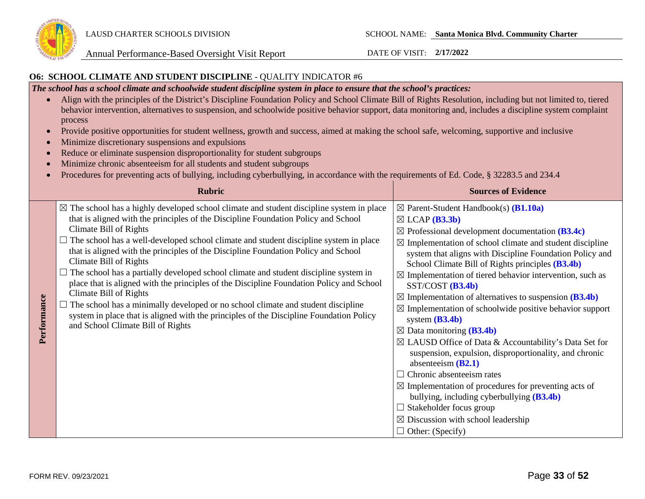

### **O6: SCHOOL CLIMATE AND STUDENT DISCIPLINE** - QUALITY INDICATOR #6

*The school has a school climate and schoolwide student discipline system in place to ensure that the school's practices:* 

- Align with the principles of the District's Discipline Foundation Policy and School Climate Bill of Rights Resolution, including but not limited to, tiered behavior intervention, alternatives to suspension, and schoolwide positive behavior support, data monitoring and, includes a discipline system complaint process
- Provide positive opportunities for student wellness, growth and success, aimed at making the school safe, welcoming, supportive and inclusive
- Minimize discretionary suspensions and expulsions
- Reduce or eliminate suspension disproportionality for student subgroups
- Minimize chronic absenteeism for all students and student subgroups
- Procedures for preventing acts of bullying, including cyberbullying, in accordance with the requirements of Ed. Code, § 32283.5 and 234.4

|             | <b>Rubric</b>                                                                                                                                                                                                                                                                                                                                                                                                                                                                                                                                                                                                                                                                                                                                                                                                                                                  | <b>Sources of Evidence</b>                                                                                                                                                                                                                                                                                                                                                                                                                                                                                                                                                                                                                                                                                                                                                                                                                                                                                                                                                                                                                                           |
|-------------|----------------------------------------------------------------------------------------------------------------------------------------------------------------------------------------------------------------------------------------------------------------------------------------------------------------------------------------------------------------------------------------------------------------------------------------------------------------------------------------------------------------------------------------------------------------------------------------------------------------------------------------------------------------------------------------------------------------------------------------------------------------------------------------------------------------------------------------------------------------|----------------------------------------------------------------------------------------------------------------------------------------------------------------------------------------------------------------------------------------------------------------------------------------------------------------------------------------------------------------------------------------------------------------------------------------------------------------------------------------------------------------------------------------------------------------------------------------------------------------------------------------------------------------------------------------------------------------------------------------------------------------------------------------------------------------------------------------------------------------------------------------------------------------------------------------------------------------------------------------------------------------------------------------------------------------------|
| Performance | $\boxtimes$ The school has a highly developed school climate and student discipline system in place<br>that is aligned with the principles of the Discipline Foundation Policy and School<br>Climate Bill of Rights<br>The school has a well-developed school climate and student discipline system in place<br>that is aligned with the principles of the Discipline Foundation Policy and School<br>Climate Bill of Rights<br>The school has a partially developed school climate and student discipline system in<br>place that is aligned with the principles of the Discipline Foundation Policy and School<br>Climate Bill of Rights<br>The school has a minimally developed or no school climate and student discipline<br>system in place that is aligned with the principles of the Discipline Foundation Policy<br>and School Climate Bill of Rights | $\boxtimes$ Parent-Student Handbook(s) ( <b>B1.10a</b> )<br>$\boxtimes$ LCAP ( <b>B3.3b</b> )<br>$\boxtimes$ Professional development documentation (B3.4c)<br>$\boxtimes$ Implementation of school climate and student discipline<br>system that aligns with Discipline Foundation Policy and<br>School Climate Bill of Rights principles (B3.4b)<br>$\boxtimes$ Implementation of tiered behavior intervention, such as<br>$SST/COST$ $(B3.4b)$<br>$\boxtimes$ Implementation of alternatives to suspension (B3.4b)<br>$\boxtimes$ Implementation of schoolwide positive behavior support<br>system $(B3.4b)$<br>$\boxtimes$ Data monitoring (B3.4b)<br>⊠ LAUSD Office of Data & Accountability's Data Set for<br>suspension, expulsion, disproportionality, and chronic<br>absenteeism $(B2.1)$<br>$\Box$ Chronic absenteeism rates<br>$\boxtimes$ Implementation of procedures for preventing acts of<br>bullying, including cyberbullying (B3.4b)<br>$\Box$ Stakeholder focus group<br>$\boxtimes$ Discussion with school leadership<br>$\Box$ Other: (Specify) |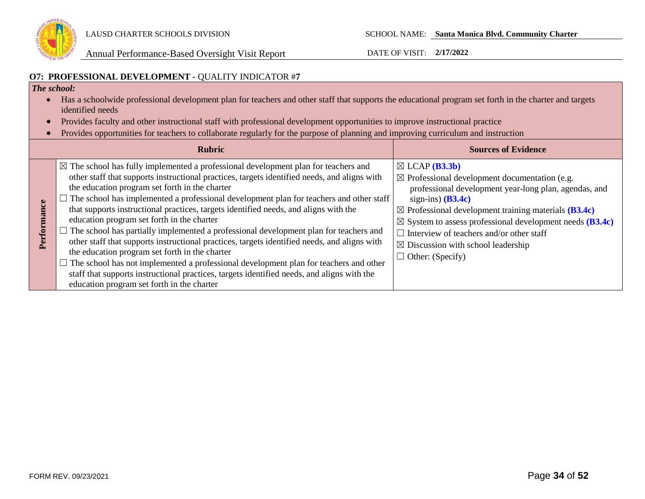

### **O7: PROFESSIONAL DEVELOPMENT** - QUALITY INDICATOR #**7**

### *The school:*

- Has a schoolwide professional development plan for teachers and other staff that supports the educational program set forth in the charter and targets identified needs
- Provides faculty and other instructional staff with professional development opportunities to improve instructional practice
- Provides opportunities for teachers to collaborate regularly for the purpose of planning and improving curriculum and instruction

| <b>Rubric</b>                                                                                                                                                                                                                                                                                                                                                                                                                                                                                                                                                                                                                                                                                                                                                                                                                                                                                                                                                           | <b>Sources of Evidence</b>                                                                                                                                                                                                                                                                                                                                                                                                               |
|-------------------------------------------------------------------------------------------------------------------------------------------------------------------------------------------------------------------------------------------------------------------------------------------------------------------------------------------------------------------------------------------------------------------------------------------------------------------------------------------------------------------------------------------------------------------------------------------------------------------------------------------------------------------------------------------------------------------------------------------------------------------------------------------------------------------------------------------------------------------------------------------------------------------------------------------------------------------------|------------------------------------------------------------------------------------------------------------------------------------------------------------------------------------------------------------------------------------------------------------------------------------------------------------------------------------------------------------------------------------------------------------------------------------------|
| $\boxtimes$ The school has fully implemented a professional development plan for teachers and<br>other staff that supports instructional practices, targets identified needs, and aligns with<br>the education program set forth in the charter<br>The school has implemented a professional development plan for teachers and other staff<br>that supports instructional practices, targets identified needs, and aligns with the<br>education program set forth in the charter<br>The school has partially implemented a professional development plan for teachers and<br>other staff that supports instructional practices, targets identified needs, and aligns with<br>the education program set forth in the charter<br>$\Box$ The school has not implemented a professional development plan for teachers and other<br>staff that supports instructional practices, targets identified needs, and aligns with the<br>education program set forth in the charter | $\boxtimes$ LCAP ( <b>B3.3b</b> )<br>$\boxtimes$ Professional development documentation (e.g.<br>professional development year-long plan, agendas, and<br>sign-ins) $(B3.4c)$<br>$\boxtimes$ Professional development training materials (B3.4c)<br>$\boxtimes$ System to assess professional development needs (B3.4c)<br>Interview of teachers and/or other staff<br>$\boxtimes$ Discussion with school leadership<br>Other: (Specify) |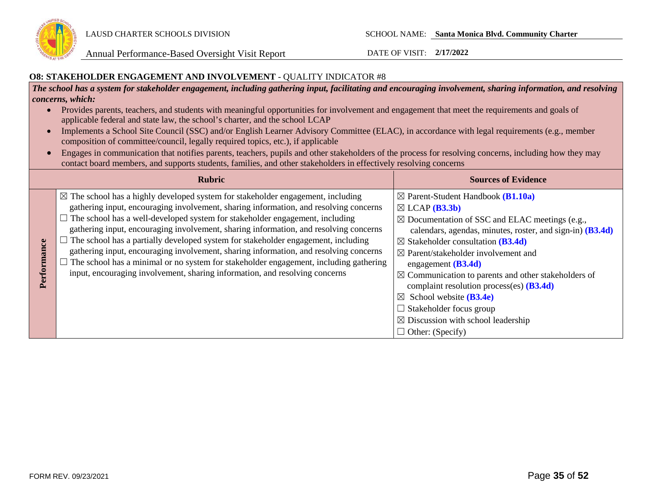

### **O8: STAKEHOLDER ENGAGEMENT AND INVOLVEMENT** - QUALITY INDICATOR #8

*The school has a system for stakeholder engagement, including gathering input, facilitating and encouraging involvement, sharing information, and resolving concerns, which:*

- Provides parents, teachers, and students with meaningful opportunities for involvement and engagement that meet the requirements and goals of applicable federal and state law, the school's charter, and the school LCAP
- Implements a School Site Council (SSC) and/or English Learner Advisory Committee (ELAC), in accordance with legal requirements (e.g., member composition of committee/council, legally required topics, etc.), if applicable
- Engages in communication that notifies parents, teachers, pupils and other stakeholders of the process for resolving concerns, including how they may contact board members, and supports students, families, and other stakeholders in effectively resolving concerns

|   | <b>Rubric</b>                                                                                                                                                                                                                                                                                                                                                                                                                                                                                                                                                                                                                                                                                                             | <b>Sources of Evidence</b>                                                                                                                                                                                                                                                                                                                                                                                                                                                                                                                                                                                                  |
|---|---------------------------------------------------------------------------------------------------------------------------------------------------------------------------------------------------------------------------------------------------------------------------------------------------------------------------------------------------------------------------------------------------------------------------------------------------------------------------------------------------------------------------------------------------------------------------------------------------------------------------------------------------------------------------------------------------------------------------|-----------------------------------------------------------------------------------------------------------------------------------------------------------------------------------------------------------------------------------------------------------------------------------------------------------------------------------------------------------------------------------------------------------------------------------------------------------------------------------------------------------------------------------------------------------------------------------------------------------------------------|
| Ξ | $\boxtimes$ The school has a highly developed system for stakeholder engagement, including<br>gathering input, encouraging involvement, sharing information, and resolving concerns<br>$\Box$ The school has a well-developed system for stakeholder engagement, including<br>gathering input, encouraging involvement, sharing information, and resolving concerns<br>The school has a partially developed system for stakeholder engagement, including<br>gathering input, encouraging involvement, sharing information, and resolving concerns<br>The school has a minimal or no system for stakeholder engagement, including gathering<br>input, encouraging involvement, sharing information, and resolving concerns | $\boxtimes$ Parent-Student Handbook ( <b>B1.10a</b> )<br>$\boxtimes$ LCAP ( <b>B3.3b</b> )<br>$\boxtimes$ Documentation of SSC and ELAC meetings (e.g.,<br>calendars, agendas, minutes, roster, and sign-in) (B3.4d)<br>$\boxtimes$ Stakeholder consultation (B3.4d)<br>$\boxtimes$ Parent/stakeholder involvement and<br>engagement $(B3.4d)$<br>$\boxtimes$ Communication to parents and other stakeholders of<br>complaint resolution process(es) $(B3.4d)$<br>$\boxtimes$ School website ( <b>B3.4e</b> )<br>$\Box$ Stakeholder focus group<br>$\boxtimes$ Discussion with school leadership<br>$\Box$ Other: (Specify) |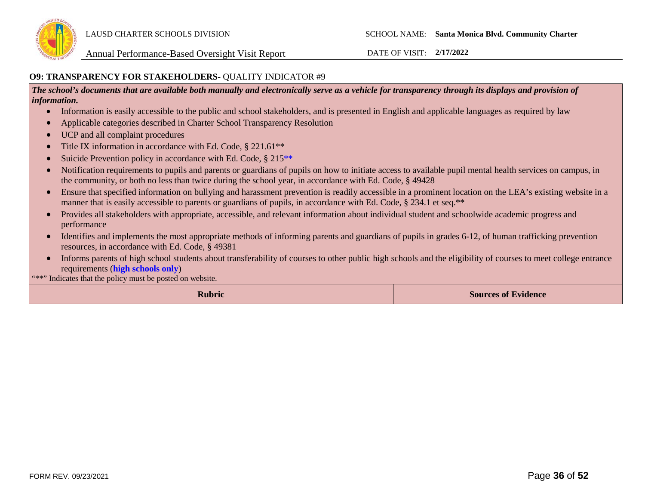

### **O9: TRANSPARENCY FOR STAKEHOLDERS-** QUALITY INDICATOR #9

*The school's documents that are available both manually and electronically serve as a vehicle for transparency through its displays and provision of information.* 

- Information is easily accessible to the public and school stakeholders, and is presented in English and applicable languages as required by law
- Applicable categories described in Charter School Transparency Resolution
- UCP and all complaint procedures
- Title IX information in accordance with Ed. Code, § 221.61<sup>\*\*</sup>
- Suicide Prevention policy in accordance with Ed. Code, § 215<sup>\*\*</sup>
- Notification requirements to pupils and parents or guardians of pupils on how to initiate access to available pupil mental health services on campus, in the community, or both no less than twice during the school year, in accordance with Ed. Code, § 49428
- Ensure that specified information on bullying and harassment prevention is readily accessible in a prominent location on the LEA's existing website in a manner that is easily accessible to parents or guardians of pupils, in accordance with Ed. Code, § 234.1 et seq.\*\*
- Provides all stakeholders with appropriate, accessible, and relevant information about individual student and schoolwide academic progress and performance
- Identifies and implements the most appropriate methods of informing parents and guardians of pupils in grades 6-12, of human trafficking prevention resources, in accordance with Ed. Code, § 49381
- Informs parents of high school students about transferability of courses to other public high schools and the eligibility of courses to meet college entrance requirements (**high schools only**)

\*\*\*" Indicates that the policy must be posted on website.

**Rubric Sources of Evidence**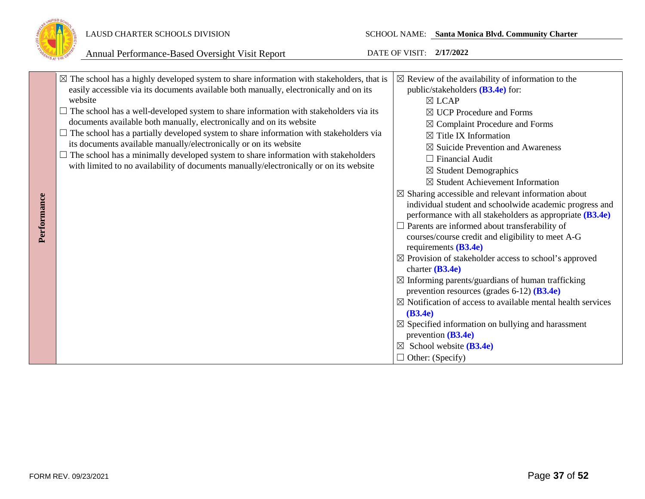

|             | $\boxtimes$ The school has a highly developed system to share information with stakeholders, that is | $\boxtimes$ Review of the availability of information to the                          |  |  |  |
|-------------|------------------------------------------------------------------------------------------------------|---------------------------------------------------------------------------------------|--|--|--|
|             | easily accessible via its documents available both manually, electronically and on its               | public/stakeholders $(B3.4e)$ for:                                                    |  |  |  |
|             | website                                                                                              | $\boxtimes$ LCAP                                                                      |  |  |  |
|             | $\Box$ The school has a well-developed system to share information with stakeholders via its         | $\boxtimes$ UCP Procedure and Forms                                                   |  |  |  |
|             | documents available both manually, electronically and on its website                                 | $\boxtimes$ Complaint Procedure and Forms                                             |  |  |  |
|             | The school has a partially developed system to share information with stakeholders via               | $\boxtimes$ Title IX Information                                                      |  |  |  |
|             | its documents available manually/electronically or on its website                                    | $\boxtimes$ Suicide Prevention and Awareness                                          |  |  |  |
|             | $\Box$ The school has a minimally developed system to share information with stakeholders            | $\Box$ Financial Audit                                                                |  |  |  |
|             | with limited to no availability of documents manually/electronically or on its website               | $\boxtimes$ Student Demographics                                                      |  |  |  |
|             |                                                                                                      | $\boxtimes$ Student Achievement Information                                           |  |  |  |
|             |                                                                                                      | $\boxtimes$ Sharing accessible and relevant information about                         |  |  |  |
| Performance |                                                                                                      | individual student and schoolwide academic progress and                               |  |  |  |
|             |                                                                                                      | performance with all stakeholders as appropriate (B3.4e)                              |  |  |  |
|             |                                                                                                      | $\Box$ Parents are informed about transferability of                                  |  |  |  |
|             |                                                                                                      | courses/course credit and eligibility to meet A-G                                     |  |  |  |
|             |                                                                                                      | requirements $(B3.4e)$                                                                |  |  |  |
|             |                                                                                                      | $\boxtimes$ Provision of stakeholder access to school's approved<br>charter $(B3.4e)$ |  |  |  |
|             |                                                                                                      | $\boxtimes$ Informing parents/guardians of human trafficking                          |  |  |  |
|             |                                                                                                      | prevention resources (grades $6-12$ ) ( <b>B3.4e</b> )                                |  |  |  |
|             |                                                                                                      | $\boxtimes$ Notification of access to available mental health services                |  |  |  |
|             |                                                                                                      | (B3.4e)                                                                               |  |  |  |
|             |                                                                                                      | $\boxtimes$ Specified information on bullying and harassment                          |  |  |  |
|             |                                                                                                      | prevention $(B3.4e)$                                                                  |  |  |  |
|             |                                                                                                      | School website (B3.4e)<br>$\boxtimes$                                                 |  |  |  |
|             |                                                                                                      | $\Box$ Other: (Specify)                                                               |  |  |  |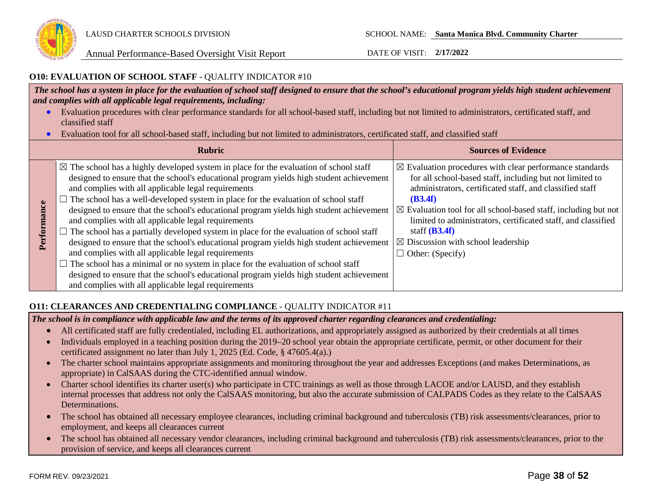

### **O10: EVALUATION OF SCHOOL STAFF** - QUALITY INDICATOR #10

*The school has a system in place for the evaluation of school staff designed to ensure that the school's educational program yields high student achievement and complies with all applicable legal requirements, including:* 

- Evaluation procedures with clear performance standards for all school-based staff, including but not limited to administrators, certificated staff, and classified staff
- Evaluation tool for all school-based staff, including but not limited to administrators, certificated staff, and classified staff

|                 | <b>Rubric</b>                                                                                                                                                                                                                                                                                                                                                                                                                                                                                                                                                                                                                                                                                                                                                                                                                                                                                                                                                                      | <b>Sources of Evidence</b>                                                                                                                                                                                                                                                                                                                                                                                                                         |
|-----------------|------------------------------------------------------------------------------------------------------------------------------------------------------------------------------------------------------------------------------------------------------------------------------------------------------------------------------------------------------------------------------------------------------------------------------------------------------------------------------------------------------------------------------------------------------------------------------------------------------------------------------------------------------------------------------------------------------------------------------------------------------------------------------------------------------------------------------------------------------------------------------------------------------------------------------------------------------------------------------------|----------------------------------------------------------------------------------------------------------------------------------------------------------------------------------------------------------------------------------------------------------------------------------------------------------------------------------------------------------------------------------------------------------------------------------------------------|
| ance<br>Perforn | $\boxtimes$ The school has a highly developed system in place for the evaluation of school staff<br>designed to ensure that the school's educational program yields high student achievement<br>and complies with all applicable legal requirements<br>The school has a well-developed system in place for the evaluation of school staff<br>designed to ensure that the school's educational program yields high student achievement<br>and complies with all applicable legal requirements<br>The school has a partially developed system in place for the evaluation of school staff<br>designed to ensure that the school's educational program yields high student achievement<br>and complies with all applicable legal requirements<br>The school has a minimal or no system in place for the evaluation of school staff<br>designed to ensure that the school's educational program yields high student achievement<br>and complies with all applicable legal requirements | $\boxtimes$ Evaluation procedures with clear performance standards<br>for all school-based staff, including but not limited to<br>administrators, certificated staff, and classified staff<br>(B3.4f)<br>$\boxtimes$ Evaluation tool for all school-based staff, including but not<br>limited to administrators, certificated staff, and classified<br>staff $(B3.4f)$<br>$\boxtimes$ Discussion with school leadership<br>$\Box$ Other: (Specify) |

### **O11: CLEARANCES AND CREDENTIALING COMPLIANCE** - QUALITY INDICATOR #11

*The school is in compliance with applicable law and the terms of its approved charter regarding clearances and credentialing:*

- All certificated staff are fully credentialed, including EL authorizations, and appropriately assigned as authorized by their credentials at all times
- Individuals employed in a teaching position during the 2019–20 school year obtain the appropriate certificate, permit, or other document for their certificated assignment no later than July 1, 2025 (Ed. Code, § 47605.4(a).)
- The charter school maintains appropriate assignments and monitoring throughout the year and addresses Exceptions (and makes Determinations, as appropriate) in CalSAAS during the CTC-identified annual window.
- Charter school identifies its charter user(s) who participate in CTC trainings as well as those through LACOE and/or LAUSD, and they establish internal processes that address not only the CalSAAS monitoring, but also the accurate submission of CALPADS Codes as they relate to the CalSAAS Determinations.
- The school has obtained all necessary employee clearances, including criminal background and tuberculosis (TB) risk assessments/clearances, prior to employment, and keeps all clearances current
- The school has obtained all necessary vendor clearances, including criminal background and tuberculosis (TB) risk assessments/clearances, prior to the provision of service, and keeps all clearances current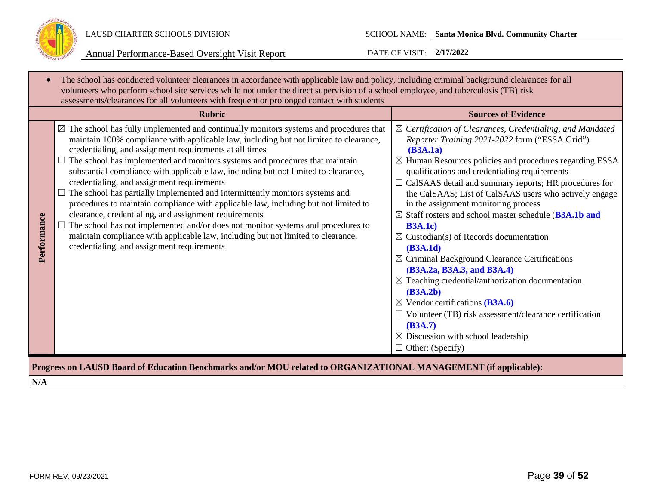

| $\bullet$   | The school has conducted volunteer clearances in accordance with applicable law and policy, including criminal background clearances for all<br>volunteers who perform school site services while not under the direct supervision of a school employee, and tuberculosis (TB) risk<br>assessments/clearances for all volunteers with frequent or prolonged contact with students                                                                                                                                                                                                                                                                                                                                                                                                                                                                                                                                                |                                                                                                                                                                                                                                                                                                                                                                                                                                                                                                                                                                                                                                                                                                                                                                                                                                                                                                                                                              |
|-------------|----------------------------------------------------------------------------------------------------------------------------------------------------------------------------------------------------------------------------------------------------------------------------------------------------------------------------------------------------------------------------------------------------------------------------------------------------------------------------------------------------------------------------------------------------------------------------------------------------------------------------------------------------------------------------------------------------------------------------------------------------------------------------------------------------------------------------------------------------------------------------------------------------------------------------------|--------------------------------------------------------------------------------------------------------------------------------------------------------------------------------------------------------------------------------------------------------------------------------------------------------------------------------------------------------------------------------------------------------------------------------------------------------------------------------------------------------------------------------------------------------------------------------------------------------------------------------------------------------------------------------------------------------------------------------------------------------------------------------------------------------------------------------------------------------------------------------------------------------------------------------------------------------------|
|             | <b>Rubric</b>                                                                                                                                                                                                                                                                                                                                                                                                                                                                                                                                                                                                                                                                                                                                                                                                                                                                                                                    | <b>Sources of Evidence</b>                                                                                                                                                                                                                                                                                                                                                                                                                                                                                                                                                                                                                                                                                                                                                                                                                                                                                                                                   |
| Performance | $\boxtimes$ The school has fully implemented and continually monitors systems and procedures that<br>maintain 100% compliance with applicable law, including but not limited to clearance,<br>credentialing, and assignment requirements at all times<br>The school has implemented and monitors systems and procedures that maintain<br>substantial compliance with applicable law, including but not limited to clearance,<br>credentialing, and assignment requirements<br>The school has partially implemented and intermittently monitors systems and<br>procedures to maintain compliance with applicable law, including but not limited to<br>clearance, credentialing, and assignment requirements<br>The school has not implemented and/or does not monitor systems and procedures to<br>maintain compliance with applicable law, including but not limited to clearance,<br>credentialing, and assignment requirements | $\boxtimes$ Certification of Clearances, Credentialing, and Mandated<br>Reporter Training 2021-2022 form ("ESSA Grid")<br>(B3A.1a)<br>$\boxtimes$ Human Resources policies and procedures regarding ESSA<br>qualifications and credentialing requirements<br>$\Box$ CalSAAS detail and summary reports; HR procedures for<br>the CalSAAS; List of CalSAAS users who actively engage<br>in the assignment monitoring process<br>$\boxtimes$ Staff rosters and school master schedule (B3A.1b and<br><b>B3A.1c)</b><br>$\boxtimes$ Custodian(s) of Records documentation<br>(B3A.1d)<br>$\boxtimes$ Criminal Background Clearance Certifications<br>(B3A.2a, B3A.3, and B3A.4)<br>$\boxtimes$ Teaching credential/authorization documentation<br>(B3A.2b)<br>$\boxtimes$ Vendor certifications (B3A.6)<br>$\Box$ Volunteer (TB) risk assessment/clearance certification<br>(B3A.7)<br>$\boxtimes$ Discussion with school leadership<br>$\Box$ Other: (Specify) |
|             | Progress on LAUSD Board of Education Benchmarks and/or MOU related to ORGANIZATIONAL MANAGEMENT (if applicable):                                                                                                                                                                                                                                                                                                                                                                                                                                                                                                                                                                                                                                                                                                                                                                                                                 |                                                                                                                                                                                                                                                                                                                                                                                                                                                                                                                                                                                                                                                                                                                                                                                                                                                                                                                                                              |
| N/A         |                                                                                                                                                                                                                                                                                                                                                                                                                                                                                                                                                                                                                                                                                                                                                                                                                                                                                                                                  |                                                                                                                                                                                                                                                                                                                                                                                                                                                                                                                                                                                                                                                                                                                                                                                                                                                                                                                                                              |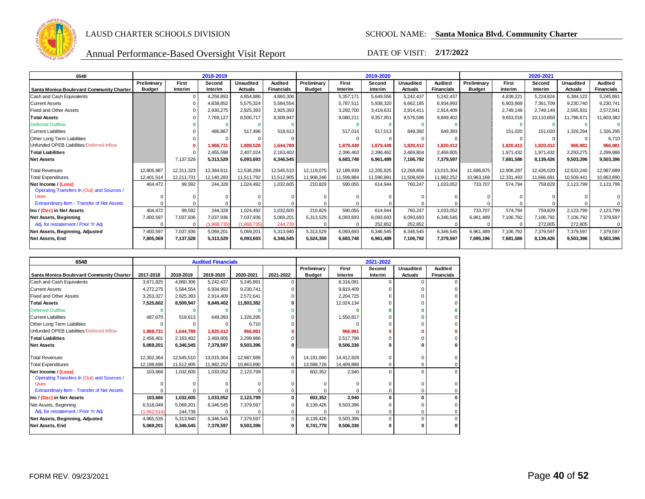

| 6548                                        | 2018-2019     |            |             |                  | 2019-2020         |               |            |            |                  | 2020-2021         |               |            |            |                  |                   |
|---------------------------------------------|---------------|------------|-------------|------------------|-------------------|---------------|------------|------------|------------------|-------------------|---------------|------------|------------|------------------|-------------------|
|                                             | Preliminary   | First      | Second      | <b>Unaudited</b> | Audited           | Preliminary   | First      | Second     | <b>Unaudited</b> | Audited           | Preliminary   | First      | Second     | <b>Unaudited</b> | <b>Audited</b>    |
| Santa Monica Boulevard Community Charter    | <b>Budget</b> | Interim    | Interim     | <b>Actuals</b>   | <b>Financials</b> | <b>Budget</b> | Interim    | Interim    | <b>Actuals</b>   | <b>Financials</b> | <b>Budget</b> | Interim    | Interim    | <b>Actuals</b>   | <b>Financials</b> |
| Cash and Cash Equivalents                   |               |            | 4,258,893   | 4,854,886        | 4,860,306         |               | 5,357,171  | 5,649,556  | 5,242,437        | 5,242,437         |               | 4,838,221  | 5,224,824  | 6,384,122        | 5,245,891         |
| <b>Current Assets</b>                       |               |            | 4,838,852   | 5,575,324        | 5,584,554         |               | 5,787,511  | 5,938,320  | 6,662,185        | 6,934,993         |               | 6,903,869  | 7,361,709  | 9,230,740        | 9,230,741         |
| <b>Fixed and Other Assets</b>               |               |            | 2,930,275   | 2,925,393        | 2,925,393         |               | 3,292,700  | 3.419.631  | 2.914.411        | 2.914.409         |               | 2,749,149  | 2,749,149  | 2,565,931        | 2,572,641         |
| <b>Total Assets</b>                         |               |            | 7,769,127   | 8,500,717        | 8,509,947         |               | 9,080,211  | 9,357,951  | 9,576,596        | 9,849,402         |               | 9,653,018  | 10,110,858 | 11,796,671       | 11,803,382        |
| <b>Deferred Outflow</b>                     |               |            |             |                  |                   |               |            |            |                  |                   |               |            |            |                  |                   |
| <b>Current Liabilities</b>                  |               |            | 486,867     | 517,496          | 518,613           |               | 517,014    | 517.013    | 649,392          | 649,393           |               | 151,020    | 151,020    | 1,326,294        | 1,326,295         |
| Other Long Term Liabilities                 |               |            |             |                  |                   |               |            |            |                  |                   |               | $\Omega$   |            |                  | 6,710             |
| Unfunded OPEB Liabilities/Deferred Inflow   |               |            | 1,968,731   | 1,889,528        | 1.644.789         |               | 1,879,449  | 1,879,449  | 1,820,412        | 1,820,412         |               | 1,820,412  | 1,820,412  | 966,981          | 966,981           |
| <b>Total Liabilities</b>                    |               |            | 2.455.598   | 2.407.024        | 2,163,402         |               | 2.396.463  | 2.396.462  | 2.469.804        | 2.469.805         |               | 1.971.432  | 1.971.432  | 2,293,275        | 2,299,986         |
| <b>Net Assets</b>                           |               | 7,137,528  | 5,313,529   | 6,093,693        | 6,346,545         |               | 6,683,748  | 6,961,489  | 7,106,792        | 7,379,597         |               | 7,681,586  | 8,139,426  | 9,503,396        | 9,503,396         |
| <b>Total Revenues</b>                       | 12,805,987    | 12,311,323 | 12,384,611  | 12,536,284       | 12,545,510        | 12,119,075    | 12,189,939 | 12,205,825 | 12,268,856       | 13,015,304        | 11,696,875    | 12,906,287 | 12,426,520 | 12,633,240       | 12,987,689        |
| <b>Total Expenditures</b>                   | 12,401,514    | 12.211.731 | 12,140,283  | 11,511,792       | 11,512,905        | 11,908,246    | 11,599,884 | 11.590.881 | 11,508,609       | 11,982,252        | 10.963.168    | 12,331,493 | 11,666,691 | 10,509,441       | 10,863,890        |
| Net Income / (Loss)                         | 404.472       | 99,592     | 244,328     | 1,024,492        | 1,032,605         | 210.829       | 590.055    | 614.944    | 760.247          | 1,033,052         | 733.707       | 574.794    | 759,829    | 2,123,799        | 2,123,799         |
| Operating Transfers In (Out) and Sources /  |               |            |             |                  |                   |               |            |            |                  |                   |               |            |            |                  |                   |
| Uses                                        |               |            |             |                  |                   |               |            |            |                  |                   |               |            |            |                  |                   |
| Extraordinary Item - Transfer of Net Assets |               |            |             |                  |                   |               |            |            |                  |                   |               |            |            |                  |                   |
| Inc / (Dec) in Net Assets                   | 404,472       | 99,592     | 244,328     | 1,024,492        | 1,032,605         | 210,829       | 590,055    | 614,944    | 760,247          | 1,033,052         | 733,707       | 574,794    | 759,829    | 2,123,799        | 2,123,799         |
| <b>Net Assets, Beginning</b>                | 7,400,597     | 7,037,936  | 7,037,936   | 7,037,936        | 5,069,201         | 5,313,529     | 6,093,693  | 6,093,693  | 6.093.693        | 6,346,545         | 6,961,489     | 7,106,792  | 7,106,792  | 7,106,792        | 7,379,597         |
| Adi. for restatement / Prior Yr Adi         |               |            | (1.968.735) | (1.968.735)      | 244.739           |               | $\Omega$   | 252.852    | 252,852          |                   |               | $\Omega$   | 272,805    | 272,805          | 0                 |
| Net Assets, Beginning, Adjusted             | 7,400,597     | 7,037,936  | 5,069,201   | 5,069,201        | 5,313,940         | 5.313.529     | 6,093,693  | 6.346.545  | 6,346,545        | 6,346,545         | 6.961.489     | 7,106,792  | 7,379,597  | 7,379,597        | 7,379,597         |
| Net Assets, End                             | 7.805.069     | 7,137,528  | 5,313,529   | 6,093,693        | 6,346,545         | 5.524.358     | 6.683.748  | 6.961.489  | 7,106,792        | 7,379,597         | 7.695.196     | 7,681,586  | 8,139,426  | 9,503,396        | 9,503,396         |
|                                             |               |            |             |                  |                   |               |            |            |                  |                   |               |            |            |                  |                   |

| 6548                                        |             |            | <b>Audited Financials</b> |            |              |               |            |         |                  |                   |
|---------------------------------------------|-------------|------------|---------------------------|------------|--------------|---------------|------------|---------|------------------|-------------------|
|                                             |             |            |                           |            |              | Preliminary   | First      | Second  | <b>Unaudited</b> | Audited           |
| Santa Monica Boulevard Community Charter    | 2017-2018   | 2018-2019  | 2019-2020                 | 2020-2021  | 2021-2022    | <b>Budget</b> | Interim    | Interim | <b>Actuals</b>   | <b>Financials</b> |
| Cash and Cash Equivalents                   | 3.671.825   | 4,860,306  | 5.242.437                 | 5,245,891  |              |               | 8.316.091  |         | $\Omega$         |                   |
| <b>Current Assets</b>                       | 4,272,275   | 5,584,554  | 6,934,993                 | 9,230,741  |              |               | 9,819,409  |         |                  |                   |
| <b>Fixed and Other Assets</b>               | 3.253.327   | 2,925,393  | 2,914,409                 | 2,572,641  |              |               | 2.204.725  |         |                  |                   |
| <b>Total Assets</b>                         | 7,525,602   | 8,509,947  | 9,849,402                 | 11,803,382 |              |               | 12,024,134 |         |                  |                   |
| <b>Deferred Outflow</b>                     |             |            |                           |            |              |               |            |         |                  |                   |
| <b>Current Liabilities</b>                  | 487,670     | 518.613    | 649,393                   | 1,326,295  |              |               | 1,550,817  |         |                  |                   |
| Other Long Term Liabilities                 |             |            |                           | 6.710      |              |               |            |         |                  |                   |
| Unfunded OPEB Liabilities/Deferred Inflow   | 1,968,731   | 1,644,789  | 1,820,412                 | 966.981    |              |               | 966.981    |         |                  |                   |
| <b>Total Liabilities</b>                    | 2.456.401   | 2,163,402  | 2,469,805                 | 2,299,986  |              |               | 2,517,798  |         |                  |                   |
| <b>Net Assets</b>                           | 5,069,201   | 6,346,545  | 7,379,597                 | 9,503,396  | 0            |               | 9,506,336  |         |                  |                   |
| <b>Total Revenues</b>                       | 12,302,364  | 12,545,510 | 13,015,304                | 12,987,689 |              | 14.191.080    | 14,412,828 |         | O                |                   |
| <b>Total Expenditures</b>                   | 12,198,698  | 11,512,905 | 11,982,252                | 10,863,890 |              | 13,588,728    | 14,409,888 |         | 0                | 0                 |
| Net Income / (Loss)                         | 103.666     | 1,032,605  | 1,033,052                 | 2,123,799  | $\Omega$     | 602,352       | 2,940      |         | $\Omega$         | 0                 |
| Operating Transfers In (Out) and Sources /  |             |            |                           |            |              |               |            |         |                  |                   |
| <b>Uses</b>                                 |             |            |                           |            |              |               |            |         | O                |                   |
| Extraordinary Item - Transfer of Net Assets |             |            |                           |            |              |               |            |         | $\Omega$         |                   |
| Inc / (Dec) in Net Assets                   | 103,666     | 1,032,605  | 1,033,052                 | 2,123,799  |              | 602,352       | 2,940      |         | 0                |                   |
| Net Assets, Beginning                       | 6,518,049   | 5,069,201  | 6,346,545                 | 7,379,597  |              | 8,139,426     | 9,503,396  |         |                  |                   |
| Adj. for restatement / Prior Yr Adj         | (1,552,514) | 244,739    |                           |            |              |               |            |         | $\Omega$         |                   |
| Net Assets, Beginning, Adjusted             | 4,965,535   | 5,313,940  | 6,346,545                 | 7,379,597  | $\Omega$     | 8,139,426     | 9,503,396  |         | $\Omega$         |                   |
| Net Assets, End                             | 5,069,201   | 6,346,545  | 7,379,597                 | 9,503,396  | <sup>0</sup> | 8,741,778     | 9,506,336  |         |                  |                   |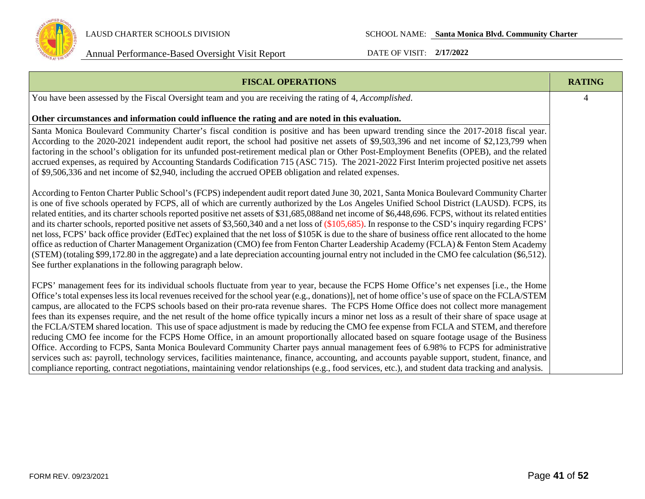

| <b>FISCAL OPERATIONS</b>                                                                                                                                                                                                                                                                                                                                                                                                                                                                                                                                                                                                                                                                                                                                                                                                                                                                                                                                                                                                                                                                                                                                                                                                                                                                                                               | <b>RATING</b> |
|----------------------------------------------------------------------------------------------------------------------------------------------------------------------------------------------------------------------------------------------------------------------------------------------------------------------------------------------------------------------------------------------------------------------------------------------------------------------------------------------------------------------------------------------------------------------------------------------------------------------------------------------------------------------------------------------------------------------------------------------------------------------------------------------------------------------------------------------------------------------------------------------------------------------------------------------------------------------------------------------------------------------------------------------------------------------------------------------------------------------------------------------------------------------------------------------------------------------------------------------------------------------------------------------------------------------------------------|---------------|
| You have been assessed by the Fiscal Oversight team and you are receiving the rating of 4, Accomplished.                                                                                                                                                                                                                                                                                                                                                                                                                                                                                                                                                                                                                                                                                                                                                                                                                                                                                                                                                                                                                                                                                                                                                                                                                               | 4             |
| Other circumstances and information could influence the rating and are noted in this evaluation.                                                                                                                                                                                                                                                                                                                                                                                                                                                                                                                                                                                                                                                                                                                                                                                                                                                                                                                                                                                                                                                                                                                                                                                                                                       |               |
| Santa Monica Boulevard Community Charter's fiscal condition is positive and has been upward trending since the 2017-2018 fiscal year.<br>According to the 2020-2021 independent audit report, the school had positive net assets of \$9,503,396 and net income of \$2,123,799 when<br>factoring in the school's obligation for its unfunded post-retirement medical plan or Other Post-Employment Benefits (OPEB), and the related<br>accrued expenses, as required by Accounting Standards Codification 715 (ASC 715). The 2021-2022 First Interim projected positive net assets<br>of \$9,506,336 and net income of \$2,940, including the accrued OPEB obligation and related expenses.                                                                                                                                                                                                                                                                                                                                                                                                                                                                                                                                                                                                                                             |               |
| According to Fenton Charter Public School's (FCPS) independent audit report dated June 30, 2021, Santa Monica Boulevard Community Charter<br>is one of five schools operated by FCPS, all of which are currently authorized by the Los Angeles Unified School District (LAUSD). FCPS, its<br>related entities, and its charter schools reported positive net assets of \$31,685,088and net income of \$6,448,696. FCPS, without its related entities<br>and its charter schools, reported positive net assets of \$3,560,340 and a net loss of (\$105,685). In response to the CSD's inquiry regarding FCPS'<br>net loss, FCPS' back office provider (EdTec) explained that the net loss of \$105K is due to the share of business office rent allocated to the home<br>office as reduction of Charter Management Organization (CMO) fee from Fenton Charter Leadership Academy (FCLA) & Fenton Stem Academy<br>(STEM) (totaling \$99,172.80 in the aggregate) and a late depreciation accounting journal entry not included in the CMO fee calculation (\$6,512).<br>See further explanations in the following paragraph below.                                                                                                                                                                                                       |               |
| FCPS' management fees for its individual schools fluctuate from year to year, because the FCPS Home Office's net expenses [i.e., the Home<br>Office's total expenses less its local revenues received for the school year (e.g., donations)], net of home office's use of space on the FCLA/STEM<br>campus, are allocated to the FCPS schools based on their pro-rata revenue shares. The FCPS Home Office does not collect more management<br>fees than its expenses require, and the net result of the home office typically incurs a minor net loss as a result of their share of space usage at<br>the FCLA/STEM shared location. This use of space adjustment is made by reducing the CMO fee expense from FCLA and STEM, and therefore<br>reducing CMO fee income for the FCPS Home Office, in an amount proportionally allocated based on square footage usage of the Business<br>Office. According to FCPS, Santa Monica Boulevard Community Charter pays annual management fees of 6.98% to FCPS for administrative<br>services such as: payroll, technology services, facilities maintenance, finance, accounting, and accounts payable support, student, finance, and<br>compliance reporting, contract negotiations, maintaining vendor relationships (e.g., food services, etc.), and student data tracking and analysis. |               |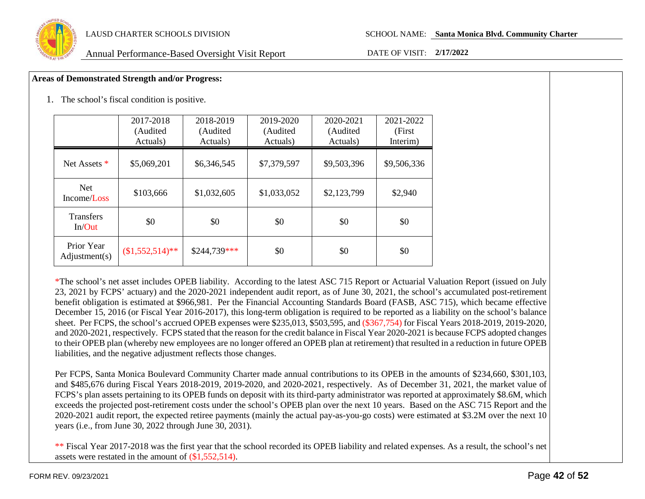

### **Areas of Demonstrated Strength and/or Progress:**

1. The school's fiscal condition is positive.

|                             | 2017-2018<br>(Audited<br>Actuals) | 2018-2019<br>(Audited<br>Actuals) | 2019-2020<br>(Audited<br>Actuals) | 2020-2021<br>(Audited<br>Actuals) | 2021-2022<br>(First<br>Interim) |
|-----------------------------|-----------------------------------|-----------------------------------|-----------------------------------|-----------------------------------|---------------------------------|
| Net Assets *                | \$5,069,201                       | \$6,346,545                       | \$7,379,597                       | \$9,503,396                       | \$9,506,336                     |
| <b>Net</b><br>Income/Loss   | \$103,666                         | \$1,032,605                       | \$1,033,052                       | \$2,123,799                       | \$2,940                         |
| <b>Transfers</b><br>In/Out  | \$0                               | \$0                               | \$0                               | \$0                               | \$0                             |
| Prior Year<br>Adjustment(s) | $$1,552,514$ <sup>**</sup>        | \$244,739***                      | \$0                               | \$0                               | \$0                             |

\*The school's net asset includes OPEB liability. According to the latest ASC 715 Report or Actuarial Valuation Report (issued on July 23, 2021 by FCPS' actuary) and the 2020-2021 independent audit report, as of June 30, 2021, the school's accumulated post-retirement benefit obligation is estimated at \$966,981. Per the Financial Accounting Standards Board (FASB, ASC 715), which became effective December 15, 2016 (or Fiscal Year 2016-2017), this long-term obligation is required to be reported as a liability on the school's balance sheet. Per FCPS, the school's accrued OPEB expenses were \$235,013, \$503,595, and (\$367,754) for Fiscal Years 2018-2019, 2019-2020, and 2020-2021, respectively. FCPS stated that the reason for the credit balance in Fiscal Year 2020-2021 is because FCPS adopted changes to their OPEB plan (whereby new employees are no longer offered an OPEB plan at retirement) that resulted in a reduction in future OPEB liabilities, and the negative adjustment reflects those changes.

Per FCPS, Santa Monica Boulevard Community Charter made annual contributions to its OPEB in the amounts of \$234,660, \$301,103, and \$485,676 during Fiscal Years 2018-2019, 2019-2020, and 2020-2021, respectively. As of December 31, 2021, the market value of FCPS's plan assets pertaining to its OPEB funds on deposit with its third-party administrator was reported at approximately \$8.6M, which exceeds the projected post-retirement costs under the school's OPEB plan over the next 10 years. Based on the ASC 715 Report and the 2020-2021 audit report, the expected retiree payments (mainly the actual pay-as-you-go costs) were estimated at \$3.2M over the next 10 years (i.e., from June 30, 2022 through June 30, 2031).

\*\* Fiscal Year 2017-2018 was the first year that the school recorded its OPEB liability and related expenses. As a result, the school's net assets were restated in the amount of (\$1,552,514).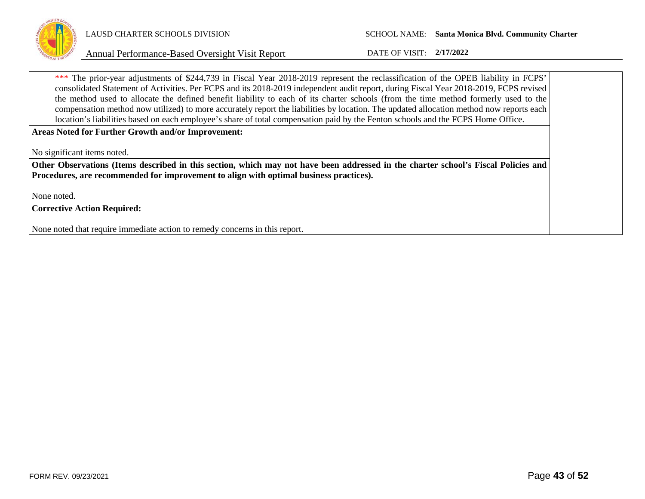

\*\*\* The prior-year adjustments of \$244,739 in Fiscal Year 2018-2019 represent the reclassification of the OPEB liability in FCPS' consolidated Statement of Activities. Per FCPS and its 2018-2019 independent audit report, during Fiscal Year 2018-2019, FCPS revised the method used to allocate the defined benefit liability to each of its charter schools (from the time method formerly used to the compensation method now utilized) to more accurately report the liabilities by location. The updated allocation method now reports each location's liabilities based on each employee's share of total compensation paid by the Fenton schools and the FCPS Home Office.

**Areas Noted for Further Growth and/or Improvement:**

No significant items noted.

**Other Observations (Items described in this section, which may not have been addressed in the charter school's Fiscal Policies and Procedures, are recommended for improvement to align with optimal business practices).**

None noted.

**Corrective Action Required:**

None noted that require immediate action to remedy concerns in this report.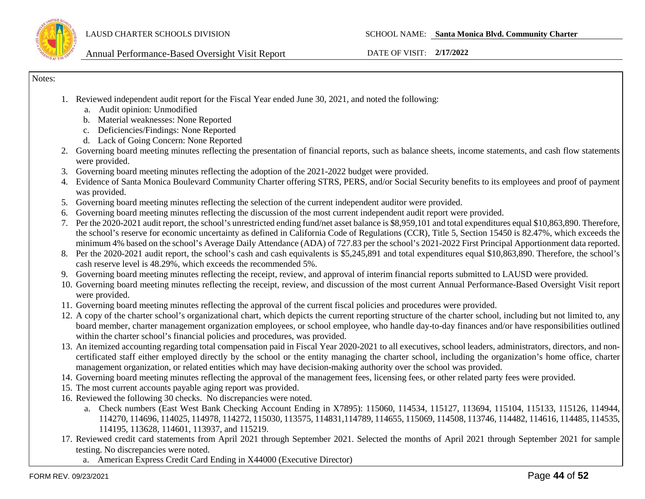

Notes:

- 1. Reviewed independent audit report for the Fiscal Year ended June 30, 2021, and noted the following:
	- a. Audit opinion: Unmodified
	- b. Material weaknesses: None Reported
	- c. Deficiencies/Findings: None Reported
	- d. Lack of Going Concern: None Reported
- 2. Governing board meeting minutes reflecting the presentation of financial reports, such as balance sheets, income statements, and cash flow statements were provided.
- 3. Governing board meeting minutes reflecting the adoption of the 2021-2022 budget were provided.
- 4. Evidence of Santa Monica Boulevard Community Charter offering STRS, PERS, and/or Social Security benefits to its employees and proof of payment was provided.
- 5. Governing board meeting minutes reflecting the selection of the current independent auditor were provided.
- 6. Governing board meeting minutes reflecting the discussion of the most current independent audit report were provided.
- 7. Per the 2020-2021 audit report, the school's unrestricted ending fund/net asset balance is \$8,959,101 and total expenditures equal \$10,863,890. Therefore, the school's reserve for economic uncertainty as defined in California Code of Regulations (CCR), Title 5, Section 15450 is 82.47%, which exceeds the minimum 4% based on the school's Average Daily Attendance (ADA) of 727.83 per the school's 2021-2022 First Principal Apportionment data reported.
- 8. Per the 2020-2021 audit report, the school's cash and cash equivalents is \$5,245,891 and total expenditures equal \$10,863,890. Therefore, the school's cash reserve level is 48.29%, which exceeds the recommended 5%.
- 9. Governing board meeting minutes reflecting the receipt, review, and approval of interim financial reports submitted to LAUSD were provided.
- 10. Governing board meeting minutes reflecting the receipt, review, and discussion of the most current Annual Performance-Based Oversight Visit report were provided.
- 11. Governing board meeting minutes reflecting the approval of the current fiscal policies and procedures were provided.
- 12. A copy of the charter school's organizational chart, which depicts the current reporting structure of the charter school, including but not limited to, any board member, charter management organization employees, or school employee, who handle day-to-day finances and/or have responsibilities outlined within the charter school's financial policies and procedures, was provided.
- 13. An itemized accounting regarding total compensation paid in Fiscal Year 2020-2021 to all executives, school leaders, administrators, directors, and noncertificated staff either employed directly by the school or the entity managing the charter school, including the organization's home office, charter management organization, or related entities which may have decision-making authority over the school was provided.
- 14. Governing board meeting minutes reflecting the approval of the management fees, licensing fees, or other related party fees were provided.
- 15. The most current accounts payable aging report was provided.
- 16. Reviewed the following 30 checks. No discrepancies were noted.
	- a. Check numbers (East West Bank Checking Account Ending in X7895): 115060, 114534, 115127, 113694, 115104, 115133, 115126, 114944, 114270, 114696, 114025, 114978, 114272, 115030, 113575, 114831,114789, 114655, 115069, 114508, 113746, 114482, 114616, 114485, 114535, 114195, 113628, 114601, 113937, and 115219.
- 17. Reviewed credit card statements from April 2021 through September 2021. Selected the months of April 2021 through September 2021 for sample testing. No discrepancies were noted.
	- a. American Express Credit Card Ending in X44000 (Executive Director)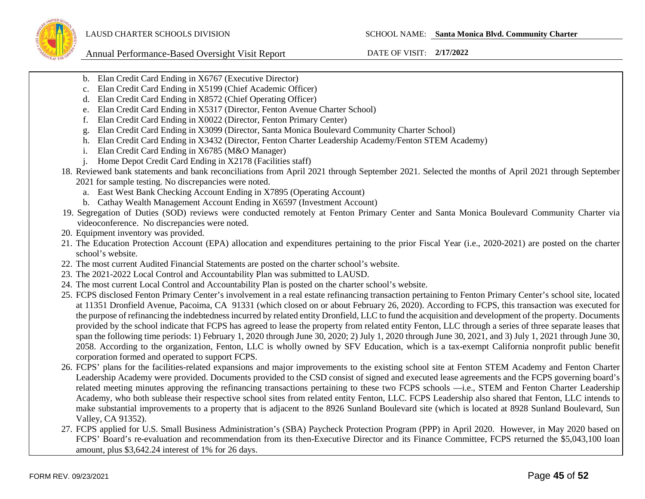- b. Elan Credit Card Ending in X6767 (Executive Director)
- c. Elan Credit Card Ending in X5199 (Chief Academic Officer)
- d. Elan Credit Card Ending in X8572 (Chief Operating Officer)
- e. Elan Credit Card Ending in X5317 (Director, Fenton Avenue Charter School)
- f. Elan Credit Card Ending in X0022 (Director, Fenton Primary Center)
- g. Elan Credit Card Ending in X3099 (Director, Santa Monica Boulevard Community Charter School)
- h. Elan Credit Card Ending in X3432 (Director, Fenton Charter Leadership Academy/Fenton STEM Academy)
- i. Elan Credit Card Ending in X6785 (M&O Manager)
- j. Home Depot Credit Card Ending in X2178 (Facilities staff)
- 18. Reviewed bank statements and bank reconciliations from April 2021 through September 2021. Selected the months of April 2021 through September 2021 for sample testing. No discrepancies were noted.
	- a. East West Bank Checking Account Ending in X7895 (Operating Account)
	- b. Cathay Wealth Management Account Ending in X6597 (Investment Account)
- 19. Segregation of Duties (SOD) reviews were conducted remotely at Fenton Primary Center and Santa Monica Boulevard Community Charter via videoconference. No discrepancies were noted.
- 20. Equipment inventory was provided.
- 21. The Education Protection Account (EPA) allocation and expenditures pertaining to the prior Fiscal Year (i.e., 2020-2021) are posted on the charter school's website.
- 22. The most current Audited Financial Statements are posted on the charter school's website.
- 23. The 2021-2022 Local Control and Accountability Plan was submitted to LAUSD.
- 24. The most current Local Control and Accountability Plan is posted on the charter school's website.
- 25. FCPS disclosed Fenton Primary Center's involvement in a real estate refinancing transaction pertaining to Fenton Primary Center's school site, located at 11351 Dronfield Avenue, Pacoima, CA 91331 (which closed on or about February 26, 2020). According to FCPS, this transaction was executed for the purpose of refinancing the indebtedness incurred by related entity Dronfield, LLC to fund the acquisition and development of the property. Documents provided by the school indicate that FCPS has agreed to lease the property from related entity Fenton, LLC through a series of three separate leases that span the following time periods: 1) February 1, 2020 through June 30, 2020; 2) July 1, 2020 through June 30, 2021, and 3) July 1, 2021 through June 30, 2058. According to the organization, Fenton, LLC is wholly owned by SFV Education, which is a tax-exempt California nonprofit public benefit corporation formed and operated to support FCPS.
- 26. FCPS' plans for the facilities-related expansions and major improvements to the existing school site at Fenton STEM Academy and Fenton Charter Leadership Academy were provided. Documents provided to the CSD consist of signed and executed lease agreements and the FCPS governing board's related meeting minutes approving the refinancing transactions pertaining to these two FCPS schools —i.e., STEM and Fenton Charter Leadership Academy, who both sublease their respective school sites from related entity Fenton, LLC. FCPS Leadership also shared that Fenton, LLC intends to make substantial improvements to a property that is adjacent to the 8926 Sunland Boulevard site (which is located at 8928 Sunland Boulevard, Sun Valley, CA 91352).
- 27. FCPS applied for U.S. Small Business Administration's (SBA) Paycheck Protection Program (PPP) in April 2020. However, in May 2020 based on FCPS' Board's re-evaluation and recommendation from its then-Executive Director and its Finance Committee, FCPS returned the \$5,043,100 loan amount, plus \$3,642.24 interest of 1% for 26 days.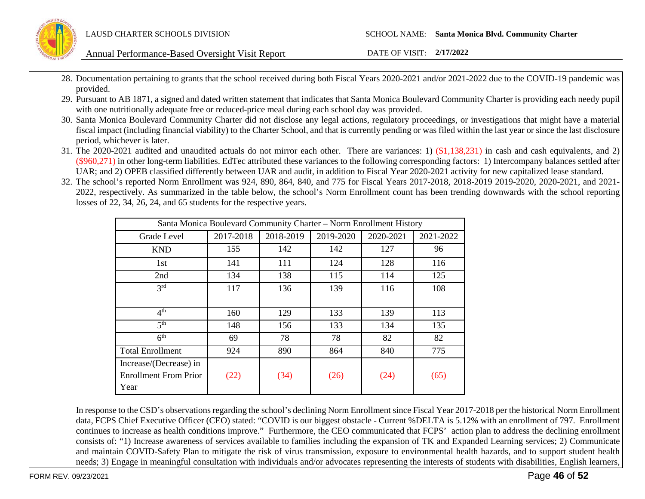

- 28. Documentation pertaining to grants that the school received during both Fiscal Years 2020-2021 and/or 2021-2022 due to the COVID-19 pandemic was provided.
- 29. Pursuant to AB 1871, a signed and dated written statement that indicates that Santa Monica Boulevard Community Charter is providing each needy pupil with one nutritionally adequate free or reduced-price meal during each school day was provided.
- 30. Santa Monica Boulevard Community Charter did not disclose any legal actions, regulatory proceedings, or investigations that might have a material fiscal impact (including financial viability) to the Charter School, and that is currently pending or was filed within the last year or since the last disclosure period, whichever is later.
- 31. The 2020-2021 audited and unaudited actuals do not mirror each other. There are variances: 1) (\$1,138,231) in cash and cash equivalents, and 2)  $(\$960,271)$  in other long-term liabilities. EdTec attributed these variances to the following corresponding factors: 1) Intercompany balances settled after UAR; and 2) OPEB classified differently between UAR and audit, in addition to Fiscal Year 2020-2021 activity for new capitalized lease standard.
- 32. The school's reported Norm Enrollment was 924, 890, 864, 840, and 775 for Fiscal Years 2017-2018, 2018-2019 2019-2020, 2020-2021, and 2021- 2022, respectively. As summarized in the table below, the school's Norm Enrollment count has been trending downwards with the school reporting losses of 22, 34, 26, 24, and 65 students for the respective years.

| Santa Monica Boulevard Community Charter - Norm Enrollment History |           |           |           |           |           |
|--------------------------------------------------------------------|-----------|-----------|-----------|-----------|-----------|
| Grade Level                                                        | 2017-2018 | 2018-2019 | 2019-2020 | 2020-2021 | 2021-2022 |
| <b>KND</b>                                                         | 155       | 142       | 142       | 127       | 96        |
| 1st                                                                | 141       | 111       | 124       | 128       | 116       |
| 2nd                                                                | 134       | 138       | 115       | 114       | 125       |
| 2rd                                                                | 117       | 136       | 139       | 116       | 108       |
|                                                                    |           |           |           |           |           |
| 4 <sup>th</sup>                                                    | 160       | 129       | 133       | 139       | 113       |
| $\overline{5^{th}}$                                                | 148       | 156       | 133       | 134       | 135       |
| 6 <sup>th</sup>                                                    | 69        | 78        | 78        | 82        | 82        |
| <b>Total Enrollment</b>                                            | 924       | 890       | 864       | 840       | 775       |
| Increase/(Decrease) in                                             |           |           |           |           |           |
| <b>Enrollment From Prior</b>                                       | (22)      | (34)      | (26)      | (24)      | (65)      |
| Year                                                               |           |           |           |           |           |

In response to the CSD's observations regarding the school's declining Norm Enrollment since Fiscal Year 2017-2018 per the historical Norm Enrollment data, FCPS Chief Executive Officer (CEO) stated: "COVID is our biggest obstacle - Current %DELTA is 5.12% with an enrollment of 797. Enrollment continues to increase as health conditions improve." Furthermore, the CEO communicated that FCPS' action plan to address the declining enrollment consists of: "1) Increase awareness of services available to families including the expansion of TK and Expanded Learning services; 2) Communicate and maintain COVID-Safety Plan to mitigate the risk of virus transmission, exposure to environmental health hazards, and to support student health needs; 3) Engage in meaningful consultation with individuals and/or advocates representing the interests of students with disabilities, English learners,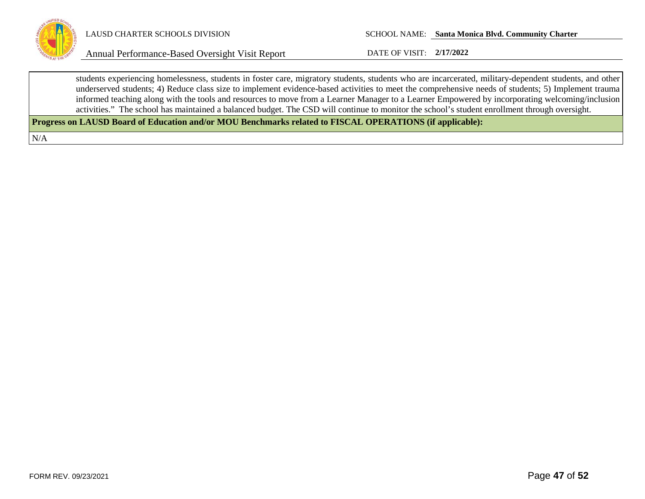

students experiencing homelessness, students in foster care, migratory students, students who are incarcerated, military-dependent students, and other underserved students; 4) Reduce class size to implement evidence-based activities to meet the comprehensive needs of students; 5) Implement trauma informed teaching along with the tools and resources to move from a Learner Manager to a Learner Empowered by incorporating welcoming/inclusion activities." The school has maintained a balanced budget. The CSD will continue to monitor the school's student enrollment through oversight.

**Progress on LAUSD Board of Education and/or MOU Benchmarks related to FISCAL OPERATIONS (if applicable):**

N/A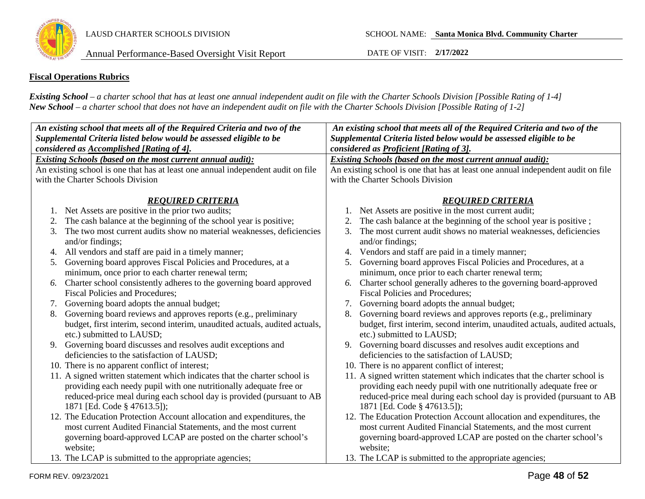

### **Fiscal Operations Rubrics**

*Existing School – a charter school that has at least one annual independent audit on file with the Charter Schools Division [Possible Rating of 1-4] New School – a charter school that does not have an independent audit on file with the Charter Schools Division [Possible Rating of 1-2]*

| An existing school that meets all of the Required Criteria and two of the |                                                                                  | An existing school that meets all of the Required Criteria and two of the        |  |
|---------------------------------------------------------------------------|----------------------------------------------------------------------------------|----------------------------------------------------------------------------------|--|
|                                                                           | Supplemental Criteria listed below would be assessed eligible to be              | Supplemental Criteria listed below would be assessed eligible to be              |  |
|                                                                           | considered as Accomplished [Rating of 4].                                        | considered as Proficient [Rating of 3].                                          |  |
|                                                                           | <b>Existing Schools (based on the most current annual audit):</b>                | <b>Existing Schools (based on the most current annual audit):</b>                |  |
|                                                                           | An existing school is one that has at least one annual independent audit on file | An existing school is one that has at least one annual independent audit on file |  |
|                                                                           | with the Charter Schools Division                                                | with the Charter Schools Division                                                |  |
|                                                                           | <b>REOUIRED CRITERIA</b>                                                         | <b>REOUIRED CRITERIA</b>                                                         |  |
| 1.                                                                        | Net Assets are positive in the prior two audits;                                 | Net Assets are positive in the most current audit;                               |  |
| 2.                                                                        | The cash balance at the beginning of the school year is positive;                | The cash balance at the beginning of the school year is positive;                |  |
| 3.                                                                        | The two most current audits show no material weaknesses, deficiencies            | The most current audit shows no material weaknesses, deficiencies<br>3.          |  |
|                                                                           | and/or findings;                                                                 | and/or findings;                                                                 |  |
| 4.                                                                        | All vendors and staff are paid in a timely manner;                               | Vendors and staff are paid in a timely manner;                                   |  |
| 5.                                                                        | Governing board approves Fiscal Policies and Procedures, at a                    | Governing board approves Fiscal Policies and Procedures, at a<br>5.              |  |
|                                                                           | minimum, once prior to each charter renewal term;                                | minimum, once prior to each charter renewal term;                                |  |
| 6.                                                                        | Charter school consistently adheres to the governing board approved              | Charter school generally adheres to the governing board-approved<br>6.           |  |
|                                                                           | <b>Fiscal Policies and Procedures;</b>                                           | <b>Fiscal Policies and Procedures;</b>                                           |  |
| 7.                                                                        | Governing board adopts the annual budget;                                        | Governing board adopts the annual budget;<br>7.                                  |  |
|                                                                           | Governing board reviews and approves reports (e.g., preliminary                  | Governing board reviews and approves reports (e.g., preliminary                  |  |
|                                                                           | budget, first interim, second interim, unaudited actuals, audited actuals,       | budget, first interim, second interim, unaudited actuals, audited actuals,       |  |
|                                                                           | etc.) submitted to LAUSD;                                                        | etc.) submitted to LAUSD;                                                        |  |
|                                                                           | 9. Governing board discusses and resolves audit exceptions and                   | Governing board discusses and resolves audit exceptions and<br>9.                |  |
|                                                                           | deficiencies to the satisfaction of LAUSD;                                       | deficiencies to the satisfaction of LAUSD;                                       |  |
|                                                                           | 10. There is no apparent conflict of interest;                                   | 10. There is no apparent conflict of interest;                                   |  |
|                                                                           | 11. A signed written statement which indicates that the charter school is        | 11. A signed written statement which indicates that the charter school is        |  |
|                                                                           | providing each needy pupil with one nutritionally adequate free or               | providing each needy pupil with one nutritionally adequate free or               |  |
|                                                                           | reduced-price meal during each school day is provided (pursuant to AB            | reduced-price meal during each school day is provided (pursuant to AB            |  |
|                                                                           | 1871 [Ed. Code § 47613.5]);                                                      | 1871 [Ed. Code § 47613.5]);                                                      |  |
|                                                                           | 12. The Education Protection Account allocation and expenditures, the            | 12. The Education Protection Account allocation and expenditures, the            |  |
|                                                                           | most current Audited Financial Statements, and the most current                  | most current Audited Financial Statements, and the most current                  |  |
|                                                                           | governing board-approved LCAP are posted on the charter school's                 | governing board-approved LCAP are posted on the charter school's                 |  |
|                                                                           | website;                                                                         | website;                                                                         |  |
|                                                                           | 13. The LCAP is submitted to the appropriate agencies;                           | 13. The LCAP is submitted to the appropriate agencies;                           |  |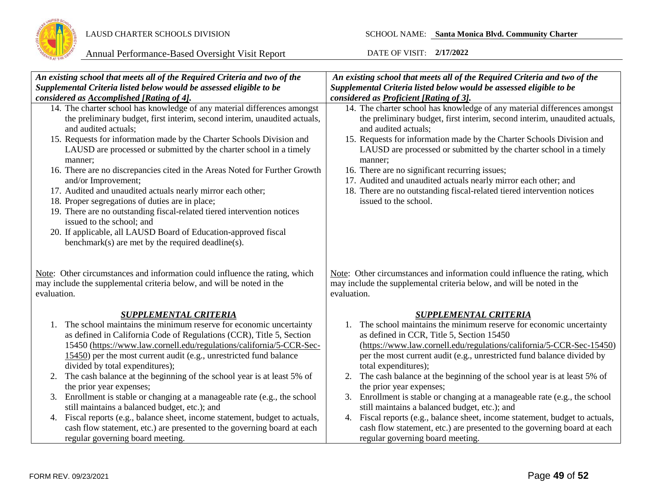

| An existing school that meets all of the Required Criteria and two of the                                                                                                                                                                                                                                                                                                                                                                                                                                                                                                                                                                                                                                                                                                                      | An existing school that meets all of the Required Criteria and two of the                                                                                                                                                                                                                                                                                                                                                                                                                                                                                                                                                                                                                                                             |
|------------------------------------------------------------------------------------------------------------------------------------------------------------------------------------------------------------------------------------------------------------------------------------------------------------------------------------------------------------------------------------------------------------------------------------------------------------------------------------------------------------------------------------------------------------------------------------------------------------------------------------------------------------------------------------------------------------------------------------------------------------------------------------------------|---------------------------------------------------------------------------------------------------------------------------------------------------------------------------------------------------------------------------------------------------------------------------------------------------------------------------------------------------------------------------------------------------------------------------------------------------------------------------------------------------------------------------------------------------------------------------------------------------------------------------------------------------------------------------------------------------------------------------------------|
| Supplemental Criteria listed below would be assessed eligible to be                                                                                                                                                                                                                                                                                                                                                                                                                                                                                                                                                                                                                                                                                                                            | Supplemental Criteria listed below would be assessed eligible to be                                                                                                                                                                                                                                                                                                                                                                                                                                                                                                                                                                                                                                                                   |
| considered as Accomplished [Rating of 4].                                                                                                                                                                                                                                                                                                                                                                                                                                                                                                                                                                                                                                                                                                                                                      | considered as <b>Proficient</b> [Rating of 3].                                                                                                                                                                                                                                                                                                                                                                                                                                                                                                                                                                                                                                                                                        |
| 14. The charter school has knowledge of any material differences amongst<br>the preliminary budget, first interim, second interim, unaudited actuals,<br>and audited actuals;<br>15. Requests for information made by the Charter Schools Division and<br>LAUSD are processed or submitted by the charter school in a timely<br>manner;<br>16. There are no discrepancies cited in the Areas Noted for Further Growth<br>and/or Improvement;<br>17. Audited and unaudited actuals nearly mirror each other;<br>18. Proper segregations of duties are in place;<br>19. There are no outstanding fiscal-related tiered intervention notices<br>issued to the school; and<br>20. If applicable, all LAUSD Board of Education-approved fiscal<br>benchmark(s) are met by the required deadline(s). | 14. The charter school has knowledge of any material differences amongst<br>the preliminary budget, first interim, second interim, unaudited actuals,<br>and audited actuals;<br>15. Requests for information made by the Charter Schools Division and<br>LAUSD are processed or submitted by the charter school in a timely<br>manner;<br>16. There are no significant recurring issues;<br>17. Audited and unaudited actuals nearly mirror each other; and<br>18. There are no outstanding fiscal-related tiered intervention notices<br>issued to the school.                                                                                                                                                                      |
| Note: Other circumstances and information could influence the rating, which<br>may include the supplemental criteria below, and will be noted in the<br>evaluation.                                                                                                                                                                                                                                                                                                                                                                                                                                                                                                                                                                                                                            | Note: Other circumstances and information could influence the rating, which<br>may include the supplemental criteria below, and will be noted in the<br>evaluation.                                                                                                                                                                                                                                                                                                                                                                                                                                                                                                                                                                   |
| <b>SUPPLEMENTAL CRITERIA</b>                                                                                                                                                                                                                                                                                                                                                                                                                                                                                                                                                                                                                                                                                                                                                                   | <b>SUPPLEMENTAL CRITERIA</b>                                                                                                                                                                                                                                                                                                                                                                                                                                                                                                                                                                                                                                                                                                          |
| The school maintains the minimum reserve for economic uncertainty<br>1.<br>as defined in California Code of Regulations (CCR), Title 5, Section<br>15450 (https://www.law.cornell.edu/regulations/california/5-CCR-Sec-<br>15450) per the most current audit (e.g., unrestricted fund balance<br>divided by total expenditures);<br>The cash balance at the beginning of the school year is at least 5% of<br>2.<br>the prior year expenses;<br>Enrollment is stable or changing at a manageable rate (e.g., the school<br>3.<br>still maintains a balanced budget, etc.); and<br>4. Fiscal reports (e.g., balance sheet, income statement, budget to actuals,<br>cash flow statement, etc.) are presented to the governing board at each<br>regular governing board meeting.                  | The school maintains the minimum reserve for economic uncertainty<br>1.<br>as defined in CCR, Title 5, Section 15450<br>(https://www.law.cornell.edu/regulations/california/5-CCR-Sec-15450)<br>per the most current audit (e.g., unrestricted fund balance divided by<br>total expenditures);<br>2. The cash balance at the beginning of the school year is at least 5% of<br>the prior year expenses;<br>3. Enrollment is stable or changing at a manageable rate (e.g., the school<br>still maintains a balanced budget, etc.); and<br>4. Fiscal reports (e.g., balance sheet, income statement, budget to actuals,<br>cash flow statement, etc.) are presented to the governing board at each<br>regular governing board meeting. |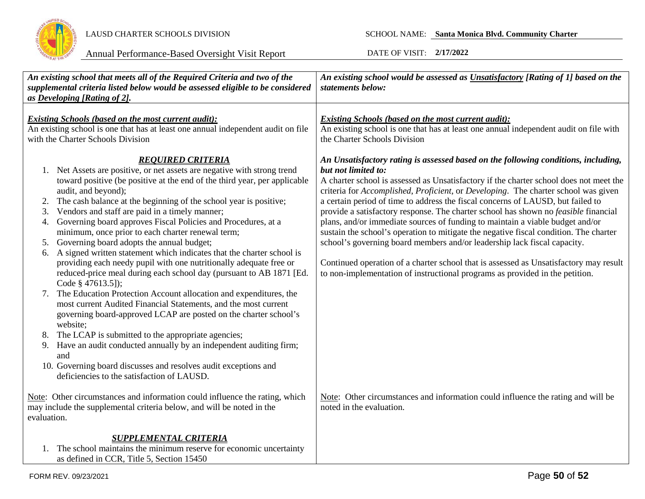

| An existing school that meets all of the Required Criteria and two of the<br>supplemental criteria listed below would be assessed eligible to be considered<br>as Developing [Rating of 2].                                                                                                                                                                                                                                                                                                                                                                                                                                                                                                                                                                                 | An existing school would be assessed as Unsatisfactory [Rating of 1] based on the<br>statements below:                                                                                                                                                                                                                                                                                                                                                                                                                                                                                                                                                                                                                                                                                                                                                                                             |
|-----------------------------------------------------------------------------------------------------------------------------------------------------------------------------------------------------------------------------------------------------------------------------------------------------------------------------------------------------------------------------------------------------------------------------------------------------------------------------------------------------------------------------------------------------------------------------------------------------------------------------------------------------------------------------------------------------------------------------------------------------------------------------|----------------------------------------------------------------------------------------------------------------------------------------------------------------------------------------------------------------------------------------------------------------------------------------------------------------------------------------------------------------------------------------------------------------------------------------------------------------------------------------------------------------------------------------------------------------------------------------------------------------------------------------------------------------------------------------------------------------------------------------------------------------------------------------------------------------------------------------------------------------------------------------------------|
| <b>Existing Schools (based on the most current audit):</b><br>An existing school is one that has at least one annual independent audit on file<br>with the Charter Schools Division                                                                                                                                                                                                                                                                                                                                                                                                                                                                                                                                                                                         | <b>Existing Schools (based on the most current audit):</b><br>An existing school is one that has at least one annual independent audit on file with<br>the Charter Schools Division                                                                                                                                                                                                                                                                                                                                                                                                                                                                                                                                                                                                                                                                                                                |
| <b>REOUIRED CRITERIA</b><br>1. Net Assets are positive, or net assets are negative with strong trend<br>toward positive (be positive at the end of the third year, per applicable<br>audit, and beyond);<br>The cash balance at the beginning of the school year is positive;<br>2.<br>Vendors and staff are paid in a timely manner;<br>3.<br>Governing board approves Fiscal Policies and Procedures, at a<br>4.<br>minimum, once prior to each charter renewal term;<br>Governing board adopts the annual budget;<br>5.<br>A signed written statement which indicates that the charter school is<br>6.<br>providing each needy pupil with one nutritionally adequate free or<br>reduced-price meal during each school day (pursuant to AB 1871 [Ed.<br>Code § 47613.5]); | An Unsatisfactory rating is assessed based on the following conditions, including,<br>but not limited to:<br>A charter school is assessed as Unsatisfactory if the charter school does not meet the<br>criteria for Accomplished, Proficient, or Developing. The charter school was given<br>a certain period of time to address the fiscal concerns of LAUSD, but failed to<br>provide a satisfactory response. The charter school has shown no feasible financial<br>plans, and/or immediate sources of funding to maintain a viable budget and/or<br>sustain the school's operation to mitigate the negative fiscal condition. The charter<br>school's governing board members and/or leadership lack fiscal capacity.<br>Continued operation of a charter school that is assessed as Unsatisfactory may result<br>to non-implementation of instructional programs as provided in the petition. |
| The Education Protection Account allocation and expenditures, the<br>most current Audited Financial Statements, and the most current<br>governing board-approved LCAP are posted on the charter school's<br>website;<br>The LCAP is submitted to the appropriate agencies;<br>8.<br>Have an audit conducted annually by an independent auditing firm;<br>9.<br>and<br>10. Governing board discusses and resolves audit exceptions and<br>deficiencies to the satisfaction of LAUSD.                                                                                                                                                                                                                                                                                         |                                                                                                                                                                                                                                                                                                                                                                                                                                                                                                                                                                                                                                                                                                                                                                                                                                                                                                    |
| Note: Other circumstances and information could influence the rating, which<br>may include the supplemental criteria below, and will be noted in the<br>evaluation.                                                                                                                                                                                                                                                                                                                                                                                                                                                                                                                                                                                                         | Note: Other circumstances and information could influence the rating and will be<br>noted in the evaluation.                                                                                                                                                                                                                                                                                                                                                                                                                                                                                                                                                                                                                                                                                                                                                                                       |
| <b>SUPPLEMENTAL CRITERIA</b><br>1. The school maintains the minimum reserve for economic uncertainty<br>as defined in CCR, Title 5, Section 15450                                                                                                                                                                                                                                                                                                                                                                                                                                                                                                                                                                                                                           |                                                                                                                                                                                                                                                                                                                                                                                                                                                                                                                                                                                                                                                                                                                                                                                                                                                                                                    |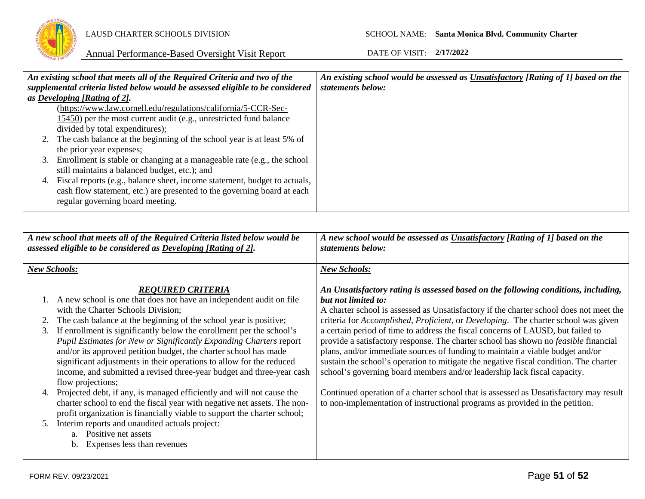

| An existing school that meets all of the Required Criteria and two of the |                                                                                | An existing school would be assessed as Unsatisfactory [Rating of 1] based on the |
|---------------------------------------------------------------------------|--------------------------------------------------------------------------------|-----------------------------------------------------------------------------------|
|                                                                           | supplemental criteria listed below would be assessed eligible to be considered | statements below:                                                                 |
|                                                                           | as Developing [Rating of 2].                                                   |                                                                                   |
|                                                                           | (https://www.law.cornell.edu/regulations/california/5-CCR-Sec-                 |                                                                                   |
|                                                                           | $15450$ ) per the most current audit (e.g., unrestricted fund balance          |                                                                                   |
|                                                                           | divided by total expenditures);                                                |                                                                                   |
|                                                                           | 2. The cash balance at the beginning of the school year is at least 5% of      |                                                                                   |
|                                                                           | the prior year expenses;                                                       |                                                                                   |
|                                                                           | 3. Enrollment is stable or changing at a manageable rate (e.g., the school     |                                                                                   |
|                                                                           | still maintains a balanced budget, etc.); and                                  |                                                                                   |
| 4.                                                                        | Fiscal reports (e.g., balance sheet, income statement, budget to actuals,      |                                                                                   |
|                                                                           | cash flow statement, etc.) are presented to the governing board at each        |                                                                                   |
|                                                                           | regular governing board meeting.                                               |                                                                                   |
|                                                                           |                                                                                |                                                                                   |

|          | A new school that meets all of the Required Criteria listed below would be<br>assessed eligible to be considered as Developing [Rating of 2].                                                                                                                                                                                                                                                                                                                                                                                                                                                         | A new school would be assessed as Unsatisfactory [Rating of 1] based on the<br>statements below:                                                                                                                                                                                                                                                                                                                                                                                                                                                                                                                                                                                                                                                 |
|----------|-------------------------------------------------------------------------------------------------------------------------------------------------------------------------------------------------------------------------------------------------------------------------------------------------------------------------------------------------------------------------------------------------------------------------------------------------------------------------------------------------------------------------------------------------------------------------------------------------------|--------------------------------------------------------------------------------------------------------------------------------------------------------------------------------------------------------------------------------------------------------------------------------------------------------------------------------------------------------------------------------------------------------------------------------------------------------------------------------------------------------------------------------------------------------------------------------------------------------------------------------------------------------------------------------------------------------------------------------------------------|
|          | <b>New Schools:</b>                                                                                                                                                                                                                                                                                                                                                                                                                                                                                                                                                                                   | <b>New Schools:</b>                                                                                                                                                                                                                                                                                                                                                                                                                                                                                                                                                                                                                                                                                                                              |
| 3.       | <b>REOUIRED CRITERIA</b><br>1. A new school is one that does not have an independent audit on file<br>with the Charter Schools Division;<br>The cash balance at the beginning of the school year is positive;<br>If enrollment is significantly below the enrollment per the school's<br>Pupil Estimates for New or Significantly Expanding Charters report<br>and/or its approved petition budget, the charter school has made<br>significant adjustments in their operations to allow for the reduced<br>income, and submitted a revised three-year budget and three-year cash<br>flow projections; | An Unsatisfactory rating is assessed based on the following conditions, including,<br>but not limited to:<br>A charter school is assessed as Unsatisfactory if the charter school does not meet the<br>criteria for <i>Accomplished, Proficient</i> , or <i>Developing</i> . The charter school was given<br>a certain period of time to address the fiscal concerns of LAUSD, but failed to<br>provide a satisfactory response. The charter school has shown no <i>feasible</i> financial<br>plans, and/or immediate sources of funding to maintain a viable budget and/or<br>sustain the school's operation to mitigate the negative fiscal condition. The charter<br>school's governing board members and/or leadership lack fiscal capacity. |
| 4.<br>5. | Projected debt, if any, is managed efficiently and will not cause the<br>charter school to end the fiscal year with negative net assets. The non-<br>profit organization is financially viable to support the charter school;<br>Interim reports and unaudited actuals project:<br>a. Positive net assets<br>Expenses less than revenues<br>$b_{1}$                                                                                                                                                                                                                                                   | Continued operation of a charter school that is assessed as Unsatisfactory may result<br>to non-implementation of instructional programs as provided in the petition.                                                                                                                                                                                                                                                                                                                                                                                                                                                                                                                                                                            |